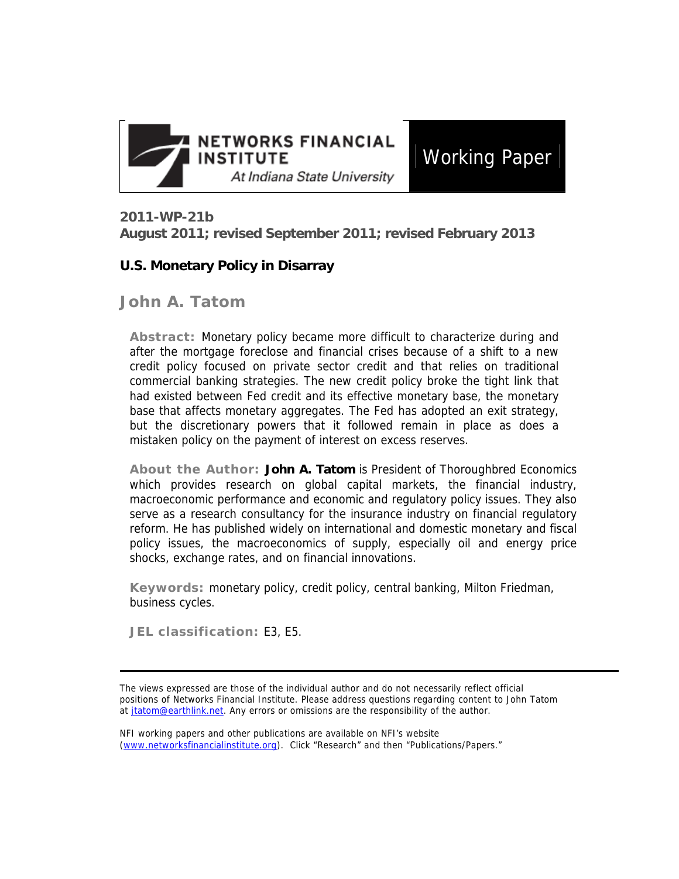

**2011-WP-21b August 2011; revised September 2011; revised February 2013**

Working Paper

# **U.S. Monetary Policy in Disarray**

**John A. Tatom** 

**Abstract:** Monetary policy became more difficult to characterize during and after the mortgage foreclose and financial crises because of a shift to a new credit policy focused on private sector credit and that relies on traditional commercial banking strategies. The new credit policy broke the tight link that had existed between Fed credit and its effective monetary base, the monetary base that affects monetary aggregates. The Fed has adopted an exit strategy, but the discretionary powers that it followed remain in place as does a mistaken policy on the payment of interest on excess reserves.

**About the Author: John A. Tatom** is President of Thoroughbred Economics which provides research on global capital markets, the financial industry, macroeconomic performance and economic and regulatory policy issues. They also serve as a research consultancy for the insurance industry on financial regulatory reform. He has published widely on international and domestic monetary and fiscal policy issues, the macroeconomics of supply, especially oil and energy price shocks, exchange rates, and on financial innovations.

**Keywords:** monetary policy, credit policy, central banking, Milton Friedman, business cycles.

**JEL classification:** E3, E5.

NFI working papers and other publications are available on NFI's website (www.networksfinancialinstitute.org). Click "Research" and then "Publications/Papers."

The views expressed are those of the individual author and do not necessarily reflect official positions of Networks Financial Institute. Please address questions regarding content to John Tatom at jtatom@earthlink.net. Any errors or omissions are the responsibility of the author.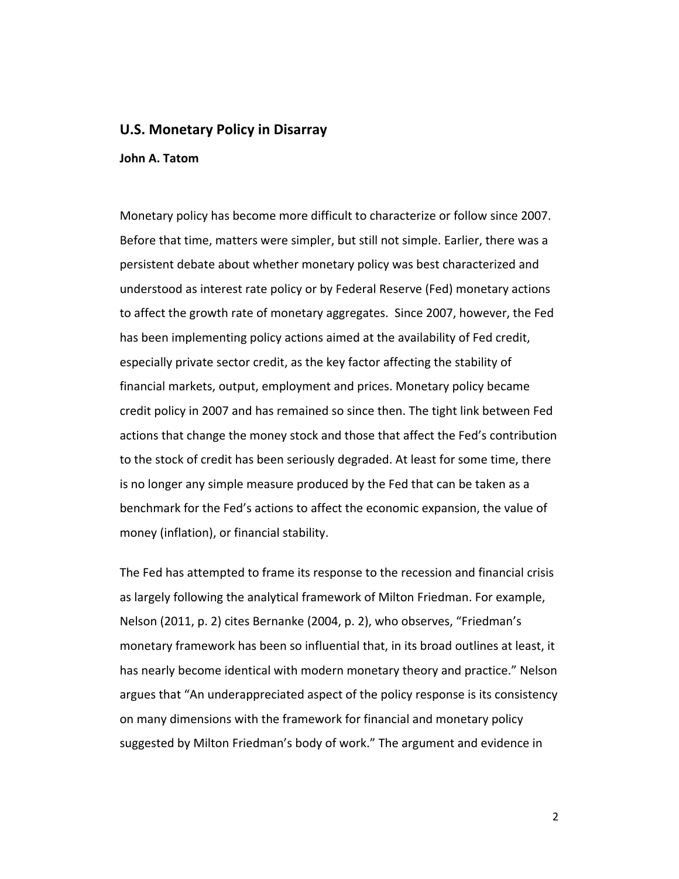# **U.S. Monetary Policy in Disarray**

### **John A. Tatom**

Monetary policy has become more difficult to characterize or follow since 2007. Before that time, matters were simpler, but still not simple. Earlier, there was a persistent debate about whether monetary policy was best characterized and understood as interest rate policy or by Federal Reserve (Fed) monetary actions to affect the growth rate of monetary aggregates. Since 2007, however, the Fed has been implementing policy actions aimed at the availability of Fed credit, especially private sector credit, as the key factor affecting the stability of financial markets, output, employment and prices. Monetary policy became credit policy in 2007 and has remained so since then. The tight link between Fed actions that change the money stock and those that affect the Fed's contribution to the stock of credit has been seriously degraded. At least for some time, there is no longer any simple measure produced by the Fed that can be taken as a benchmark for the Fed's actions to affect the economic expansion, the value of money (inflation), or financial stability.

The Fed has attempted to frame its response to the recession and financial crisis as largely following the analytical framework of Milton Friedman. For example, Nelson (2011, p. 2) cites Bernanke (2004, p. 2), who observes, "Friedman's monetary framework has been so influential that, in its broad outlines at least, it has nearly become identical with modern monetary theory and practice." Nelson argues that "An underappreciated aspect of the policy response is its consistency on many dimensions with the framework for financial and monetary policy suggested by Milton Friedman's body of work." The argument and evidence in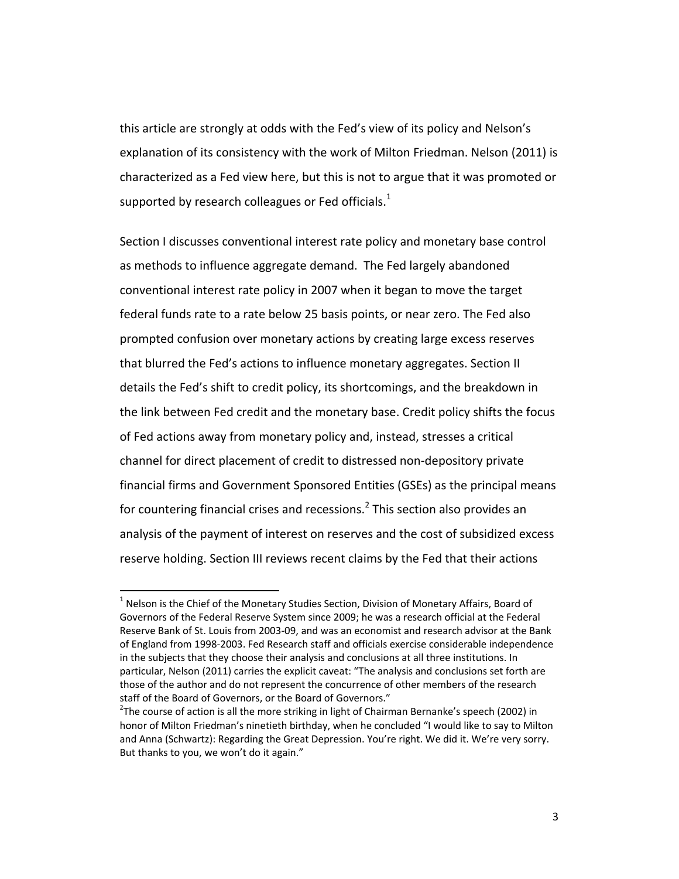this article are strongly at odds with the Fed's view of its policy and Nelson's explanation of its consistency with the work of Milton Friedman. Nelson (2011) is characterized as a Fed view here, but this is not to argue that it was promoted or supported by research colleagues or Fed officials. $<sup>1</sup>$ </sup>

Section I discusses conventional interest rate policy and monetary base control as methods to influence aggregate demand. The Fed largely abandoned conventional interest rate policy in 2007 when it began to move the target federal funds rate to a rate below 25 basis points, or near zero. The Fed also prompted confusion over monetary actions by creating large excess reserves that blurred the Fed's actions to influence monetary aggregates. Section II details the Fed's shift to credit policy, its shortcomings, and the breakdown in the link between Fed credit and the monetary base. Credit policy shifts the focus of Fed actions away from monetary policy and, instead, stresses a critical channel for direct placement of credit to distressed non‐depository private financial firms and Government Sponsored Entities (GSEs) as the principal means for countering financial crises and recessions. $<sup>2</sup>$  This section also provides an</sup> analysis of the payment of interest on reserves and the cost of subsidized excess reserve holding. Section III reviews recent claims by the Fed that their actions

 $<sup>1</sup>$  Nelson is the Chief of the Monetary Studies Section, Division of Monetary Affairs, Board of</sup> Governors of the Federal Reserve System since 2009; he was a research official at the Federal Reserve Bank of St. Louis from 2003‐09, and was an economist and research advisor at the Bank of England from 1998‐2003. Fed Research staff and officials exercise considerable independence in the subjects that they choose their analysis and conclusions at all three institutions. In particular, Nelson (2011) carries the explicit caveat: "The analysis and conclusions set forth are those of the author and do not represent the concurrence of other members of the research staff of the Board of Governors, or the Board of Governors." <sup>2</sup>

<sup>&</sup>lt;sup>2</sup>The course of action is all the more striking in light of Chairman Bernanke's speech (2002) in honor of Milton Friedman's ninetieth birthday, when he concluded "I would like to say to Milton and Anna (Schwartz): Regarding the Great Depression. You're right. We did it. We're very sorry. But thanks to you, we won't do it again."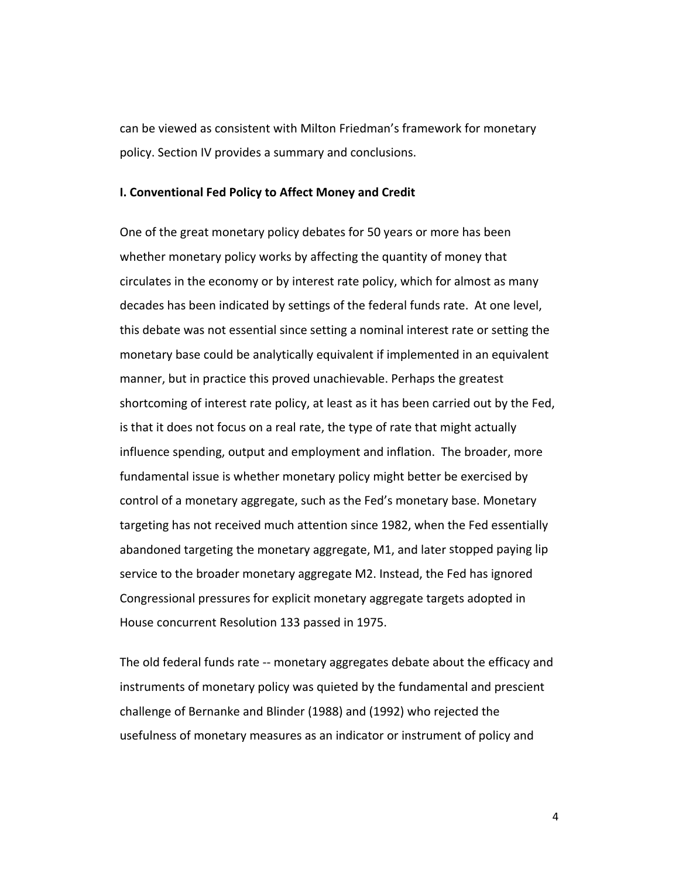can be viewed as consistent with Milton Friedman's framework for monetary policy. Section IV provides a summary and conclusions.

#### **I. Conventional Fed Policy to Affect Money and Credit**

One of the great monetary policy debates for 50 years or more has been whether monetary policy works by affecting the quantity of money that circulates in the economy or by interest rate policy, which for almost as many decades has been indicated by settings of the federal funds rate. At one level, this debate was not essential since setting a nominal interest rate or setting the monetary base could be analytically equivalent if implemented in an equivalent manner, but in practice this proved unachievable. Perhaps the greatest shortcoming of interest rate policy, at least as it has been carried out by the Fed, is that it does not focus on a real rate, the type of rate that might actually influence spending, output and employment and inflation. The broader, more fundamental issue is whether monetary policy might better be exercised by control of a monetary aggregate, such as the Fed's monetary base. Monetary targeting has not received much attention since 1982, when the Fed essentially abandoned targeting the monetary aggregate, M1, and later stopped paying lip service to the broader monetary aggregate M2. Instead, the Fed has ignored Congressional pressures for explicit monetary aggregate targets adopted in House concurrent Resolution 133 passed in 1975.

The old federal funds rate ‐‐ monetary aggregates debate about the efficacy and instruments of monetary policy was quieted by the fundamental and prescient challenge of Bernanke and Blinder (1988) and (1992) who rejected the usefulness of monetary measures as an indicator or instrument of policy and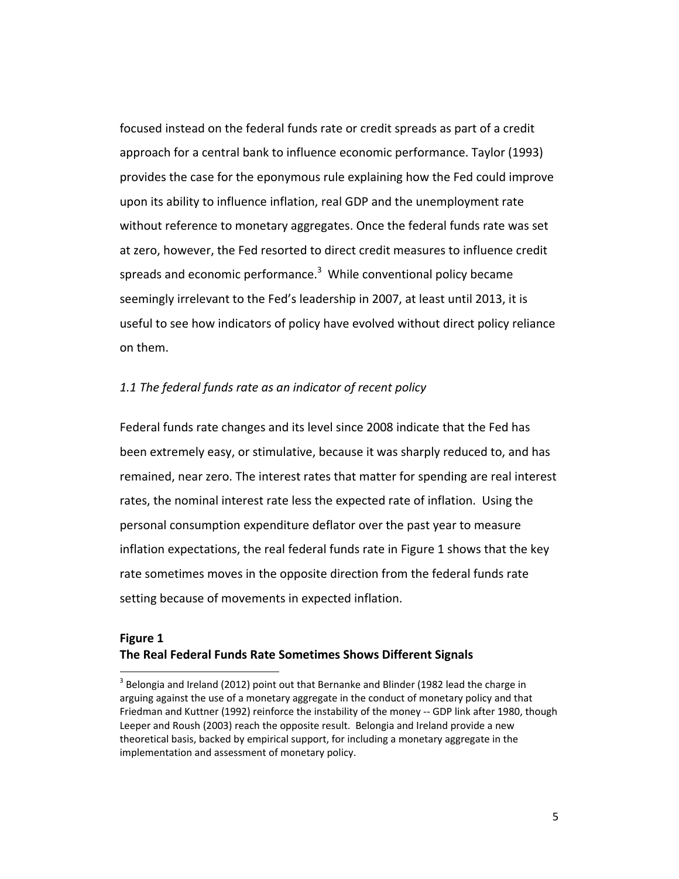focused instead on the federal funds rate or credit spreads as part of a credit approach for a central bank to influence economic performance. Taylor (1993) provides the case for the eponymous rule explaining how the Fed could improve upon its ability to influence inflation, real GDP and the unemployment rate without reference to monetary aggregates. Once the federal funds rate was set at zero, however, the Fed resorted to direct credit measures to influence credit spreads and economic performance.<sup>3</sup> While conventional policy became seemingly irrelevant to the Fed's leadership in 2007, at least until 2013, it is useful to see how indicators of policy have evolved without direct policy reliance on them.

# *1.1 The federal funds rate as an indicator of recent policy*

Federal funds rate changes and its level since 2008 indicate that the Fed has been extremely easy, or stimulative, because it was sharply reduced to, and has remained, near zero. The interest rates that matter for spending are real interest rates, the nominal interest rate less the expected rate of inflation. Using the personal consumption expenditure deflator over the past year to measure inflation expectations, the real federal funds rate in Figure 1 shows that the key rate sometimes moves in the opposite direction from the federal funds rate setting because of movements in expected inflation.

# **Figure 1 The Real Federal Funds Rate Sometimes Shows Different Signals**

 $3$  Belongia and Ireland (2012) point out that Bernanke and Blinder (1982 lead the charge in arguing against the use of a monetary aggregate in the conduct of monetary policy and that Friedman and Kuttner (1992) reinforce the instability of the money -- GDP link after 1980, though Leeper and Roush (2003) reach the opposite result. Belongia and Ireland provide a new theoretical basis, backed by empirical support, for including a monetary aggregate in the implementation and assessment of monetary policy.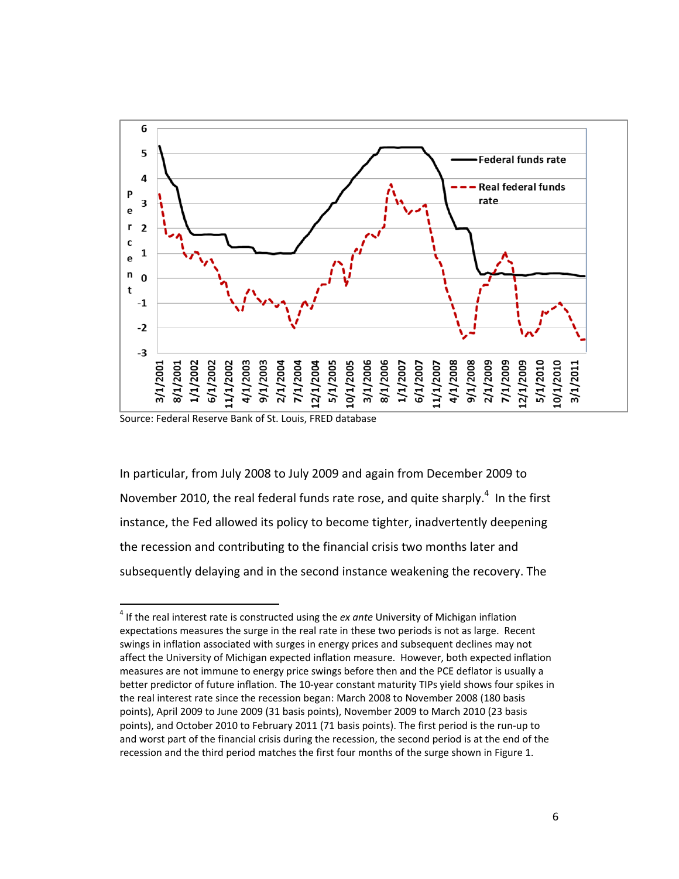

Source: Federal Reserve Bank of St. Louis, FRED database

In particular, from July 2008 to July 2009 and again from December 2009 to November 2010, the real federal funds rate rose, and quite sharply. $4\,$  In the first instance, the Fed allowed its policy to become tighter, inadvertently deepening the recession and contributing to the financial crisis two months later and subsequently delaying and in the second instance weakening the recovery. The

<sup>4</sup> If the real interest rate is constructed using the *ex ante* University of Michigan inflation expectations measures the surge in the real rate in these two periods is not as large. Recent swings in inflation associated with surges in energy prices and subsequent declines may not affect the University of Michigan expected inflation measure. However, both expected inflation measures are not immune to energy price swings before then and the PCE deflator is usually a better predictor of future inflation. The 10-year constant maturity TIPs yield shows four spikes in the real interest rate since the recession began: March 2008 to November 2008 (180 basis points), April 2009 to June 2009 (31 basis points), November 2009 to March 2010 (23 basis points), and October 2010 to February 2011 (71 basis points). The first period is the run‐up to and worst part of the financial crisis during the recession, the second period is at the end of the recession and the third period matches the first four months of the surge shown in Figure 1.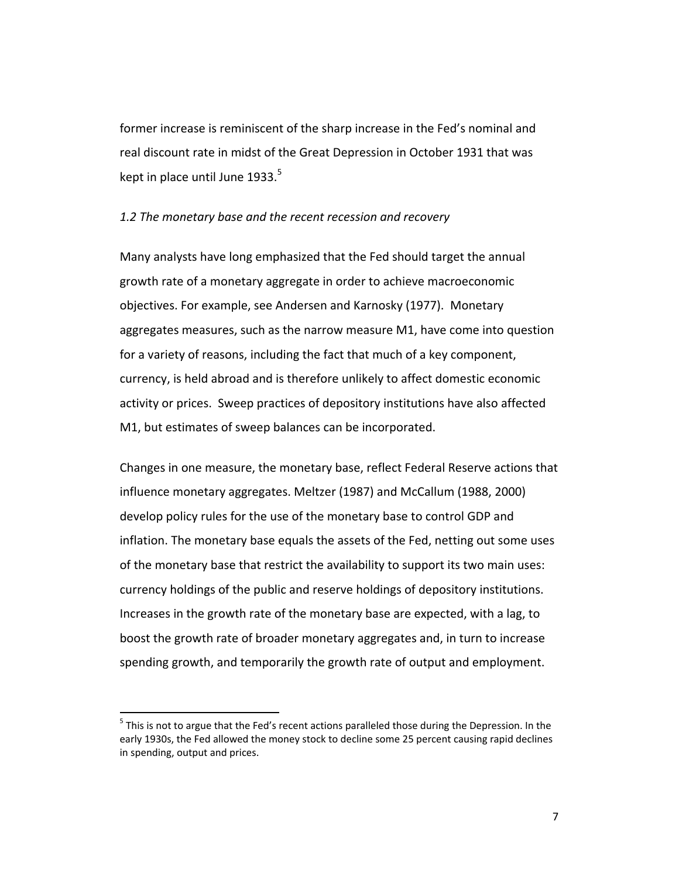former increase is reminiscent of the sharp increase in the Fed's nominal and real discount rate in midst of the Great Depression in October 1931 that was kept in place until June 1933. $^5$ 

#### *1.2 The monetary base and the recent recession and recovery*

Many analysts have long emphasized that the Fed should target the annual growth rate of a monetary aggregate in order to achieve macroeconomic objectives. For example, see Andersen and Karnosky (1977). Monetary aggregates measures, such as the narrow measure M1, have come into question for a variety of reasons, including the fact that much of a key component, currency, is held abroad and is therefore unlikely to affect domestic economic activity or prices. Sweep practices of depository institutions have also affected M1, but estimates of sweep balances can be incorporated.

Changes in one measure, the monetary base, reflect Federal Reserve actions that influence monetary aggregates. Meltzer (1987) and McCallum (1988, 2000) develop policy rules for the use of the monetary base to control GDP and inflation. The monetary base equals the assets of the Fed, netting out some uses of the monetary base that restrict the availability to support its two main uses: currency holdings of the public and reserve holdings of depository institutions. Increases in the growth rate of the monetary base are expected, with a lag, to boost the growth rate of broader monetary aggregates and, in turn to increase spending growth, and temporarily the growth rate of output and employment.

 $<sup>5</sup>$  This is not to argue that the Fed's recent actions paralleled those during the Depression. In the</sup> early 1930s, the Fed allowed the money stock to decline some 25 percent causing rapid declines in spending, output and prices.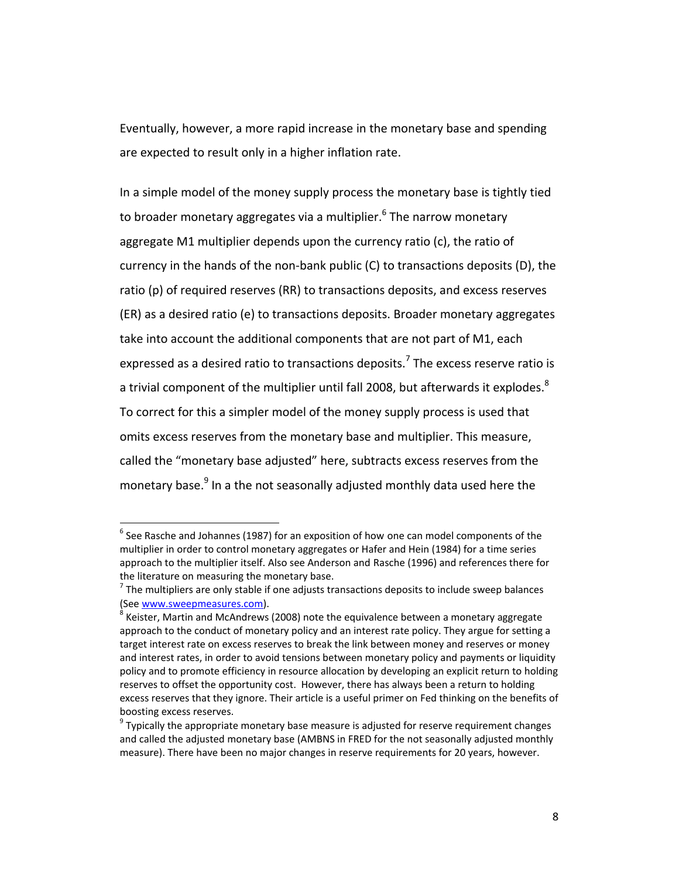Eventually, however, a more rapid increase in the monetary base and spending are expected to result only in a higher inflation rate.

In a simple model of the money supply process the monetary base is tightly tied to broader monetary aggregates via a multiplier.<sup>6</sup> The narrow monetary aggregate M1 multiplier depends upon the currency ratio (c), the ratio of currency in the hands of the non‐bank public (C) to transactions deposits (D), the ratio (p) of required reserves (RR) to transactions deposits, and excess reserves (ER) as a desired ratio (e) to transactions deposits. Broader monetary aggregates take into account the additional components that are not part of M1, each expressed as a desired ratio to transactions deposits.<sup>7</sup> The excess reserve ratio is a trivial component of the multiplier until fall 2008, but afterwards it explodes. $^8$ To correct for this a simpler model of the money supply process is used that omits excess reserves from the monetary base and multiplier. This measure, called the "monetary base adjusted" here, subtracts excess reserves from the monetary base.<sup>9</sup> In a the not seasonally adjusted monthly data used here the

 $<sup>6</sup>$  See Rasche and Johannes (1987) for an exposition of how one can model components of the</sup> multiplier in order to control monetary aggregates or Hafer and Hein (1984) for a time series approach to the multiplier itself. Also see Anderson and Rasche (1996) and references there for the literature on measuring the monetary base.<br><sup>7</sup> The multipliers are only stable if one adjusts transactions deposits to include sweep balances

<sup>(</sup>See www.sweepmeasures.com).<br><sup>8</sup> Keister, Martin and McAndrews (2008) note the equivalence between a monetary aggregate

approach to the conduct of monetary policy and an interest rate policy. They argue for setting a target interest rate on excess reserves to break the link between money and reserves or money and interest rates, in order to avoid tensions between monetary policy and payments or liquidity policy and to promote efficiency in resource allocation by developing an explicit return to holding reserves to offset the opportunity cost. However, there has always been a return to holding excess reserves that they ignore. Their article is a useful primer on Fed thinking on the benefits of boosting excess reserves.<br><sup>9</sup> Typically the appropriate monetary base measure is adjusted for reserve requirement changes

and called the adjusted monetary base (AMBNS in FRED for the not seasonally adjusted monthly measure). There have been no major changes in reserve requirements for 20 years, however.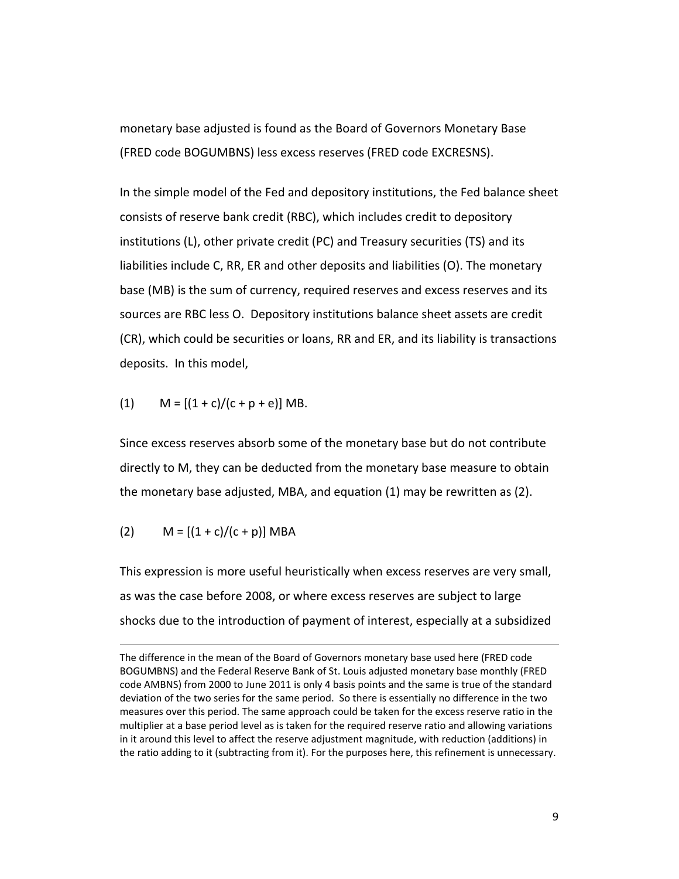monetary base adjusted is found as the Board of Governors Monetary Base (FRED code BOGUMBNS) less excess reserves (FRED code EXCRESNS).

In the simple model of the Fed and depository institutions, the Fed balance sheet consists of reserve bank credit (RBC), which includes credit to depository institutions (L), other private credit (PC) and Treasury securities (TS) and its liabilities include C, RR, ER and other deposits and liabilities (O). The monetary base (MB) is the sum of currency, required reserves and excess reserves and its sources are RBC less O. Depository institutions balance sheet assets are credit (CR), which could be securities or loans, RR and ER, and its liability is transactions deposits. In this model,

(1)  $M = [(1 + c)/(c + p + e)] MB$ .

Since excess reserves absorb some of the monetary base but do not contribute directly to M, they can be deducted from the monetary base measure to obtain the monetary base adjusted, MBA, and equation (1) may be rewritten as (2).

(2)  $M = [(1 + c)/(c + p)] \text{MBA}$ 

This expression is more useful heuristically when excess reserves are very small, as was the case before 2008, or where excess reserves are subject to large shocks due to the introduction of payment of interest, especially at a subsidized

<u> 1989 - Johann Stoff, fransk politik (d. 1989)</u>

The difference in the mean of the Board of Governors monetary base used here (FRED code BOGUMBNS) and the Federal Reserve Bank of St. Louis adjusted monetary base monthly (FRED code AMBNS) from 2000 to June 2011 is only 4 basis points and the same is true of the standard deviation of the two series for the same period. So there is essentially no difference in the two measures over this period. The same approach could be taken for the excess reserve ratio in the multiplier at a base period level as is taken for the required reserve ratio and allowing variations in it around this level to affect the reserve adjustment magnitude, with reduction (additions) in the ratio adding to it (subtracting from it). For the purposes here, this refinement is unnecessary.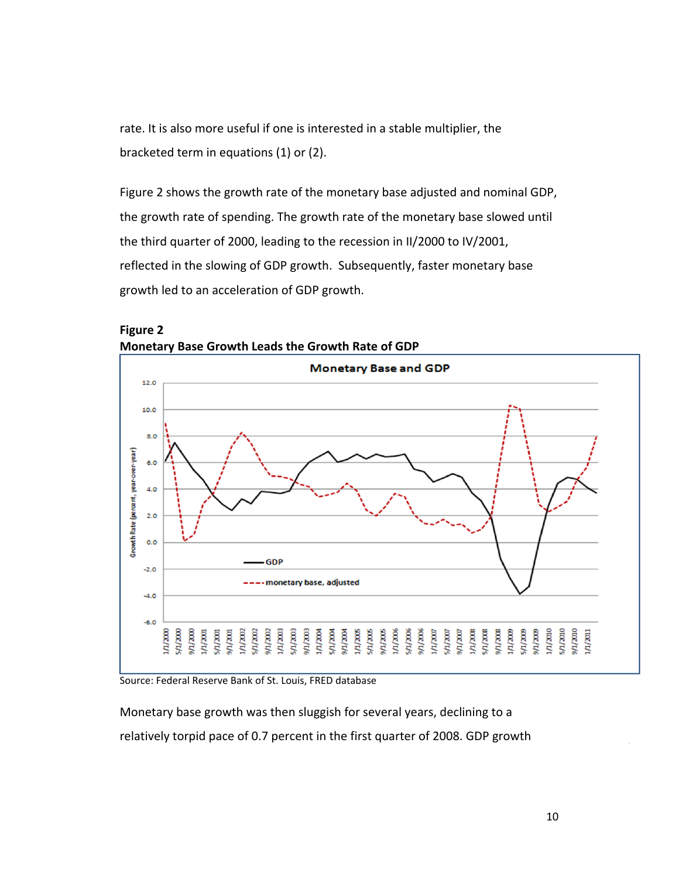rate. It is also more useful if one is interested in a stable multiplier, the bracketed term in equations (1) or (2).

Figure 2 shows the growth rate of the monetary base adjusted and nominal GDP, the growth rate of spending. The growth rate of the monetary base slowed until the third quarter of 2000, leading to the recession in II/2000 to IV/2001, reflected in the slowing of GDP growth. Subsequently, faster monetary base growth led to an acceleration of GDP growth.



**Figure 2 Monetary Base Growth Leads the Growth Rate of GDP**

Source: Federal Reserve Bank of St. Louis, FRED database

Monetary base growth was then sluggish for several years, declining to a relatively torpid pace of 0.7 percent in the first quarter of 2008. GDP growth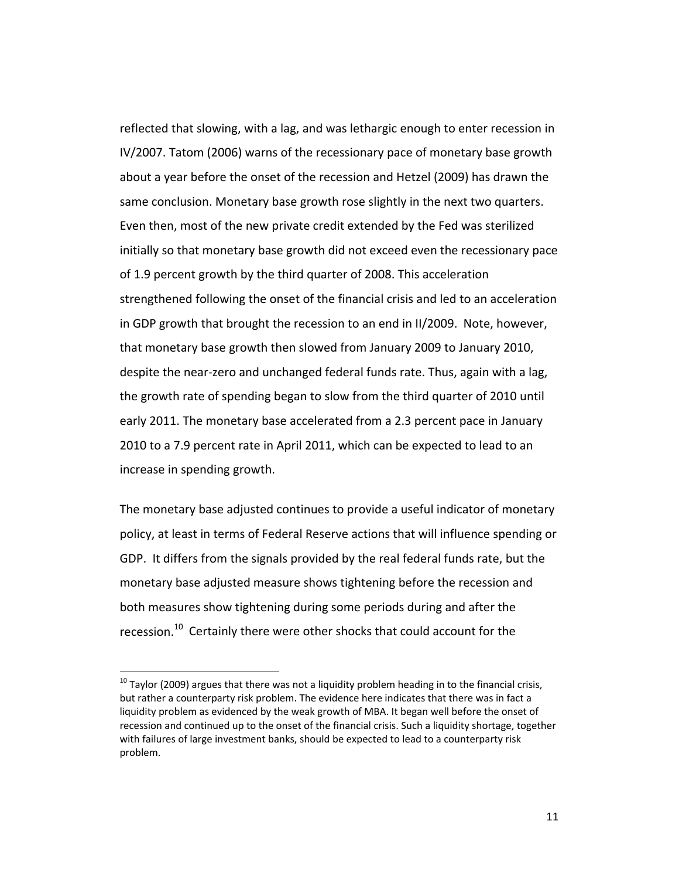reflected that slowing, with a lag, and was lethargic enough to enter recession in IV/2007. Tatom (2006) warns of the recessionary pace of monetary base growth about a year before the onset of the recession and Hetzel (2009) has drawn the same conclusion. Monetary base growth rose slightly in the next two quarters. Even then, most of the new private credit extended by the Fed was sterilized initially so that monetary base growth did not exceed even the recessionary pace of 1.9 percent growth by the third quarter of 2008. This acceleration strengthened following the onset of the financial crisis and led to an acceleration in GDP growth that brought the recession to an end in II/2009. Note, however, that monetary base growth then slowed from January 2009 to January 2010, despite the near‐zero and unchanged federal funds rate. Thus, again with a lag, the growth rate of spending began to slow from the third quarter of 2010 until early 2011. The monetary base accelerated from a 2.3 percent pace in January 2010 to a 7.9 percent rate in April 2011, which can be expected to lead to an increase in spending growth.

The monetary base adjusted continues to provide a useful indicator of monetary policy, at least in terms of Federal Reserve actions that will influence spending or GDP. It differs from the signals provided by the real federal funds rate, but the monetary base adjusted measure shows tightening before the recession and both measures show tightening during some periods during and after the recession.<sup>10</sup> Certainly there were other shocks that could account for the

 $10$  Taylor (2009) argues that there was not a liquidity problem heading in to the financial crisis, but rather a counterparty risk problem. The evidence here indicates that there was in fact a liquidity problem as evidenced by the weak growth of MBA. It began well before the onset of recession and continued up to the onset of the financial crisis. Such a liquidity shortage, together with failures of large investment banks, should be expected to lead to a counterparty risk problem.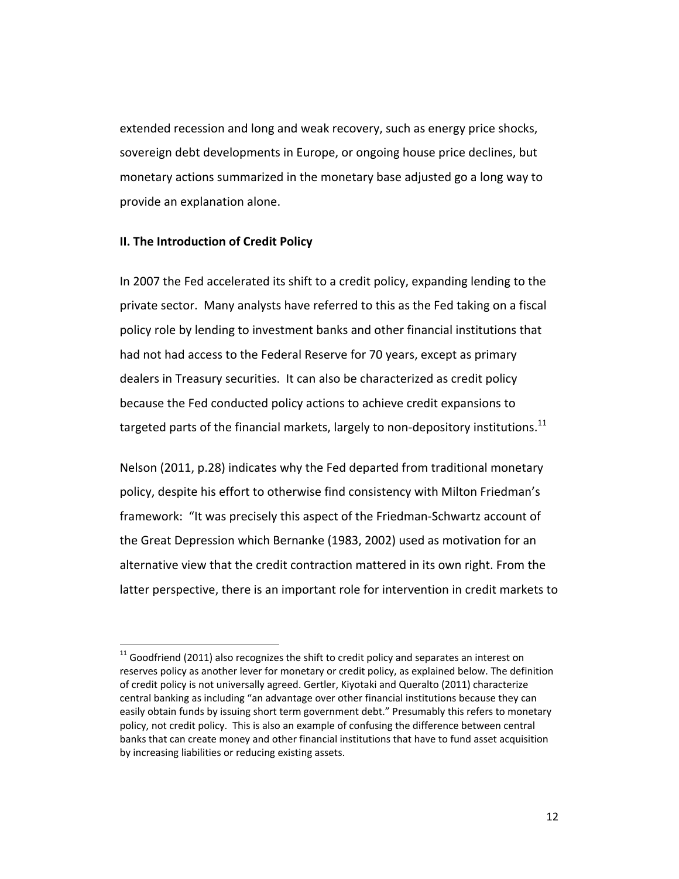extended recession and long and weak recovery, such as energy price shocks, sovereign debt developments in Europe, or ongoing house price declines, but monetary actions summarized in the monetary base adjusted go a long way to provide an explanation alone.

## **II. The Introduction of Credit Policy**

In 2007 the Fed accelerated its shift to a credit policy, expanding lending to the private sector. Many analysts have referred to this as the Fed taking on a fiscal policy role by lending to investment banks and other financial institutions that had not had access to the Federal Reserve for 70 years, except as primary dealers in Treasury securities. It can also be characterized as credit policy because the Fed conducted policy actions to achieve credit expansions to targeted parts of the financial markets, largely to non-depository institutions.<sup>11</sup>

Nelson (2011, p.28) indicates why the Fed departed from traditional monetary policy, despite his effort to otherwise find consistency with Milton Friedman's framework: "It was precisely this aspect of the Friedman‐Schwartz account of the Great Depression which Bernanke (1983, 2002) used as motivation for an alternative view that the credit contraction mattered in its own right. From the latter perspective, there is an important role for intervention in credit markets to

 $11$  Goodfriend (2011) also recognizes the shift to credit policy and separates an interest on reserves policy as another lever for monetary or credit policy, as explained below. The definition of credit policy is not universally agreed. Gertler, Kiyotaki and Queralto (2011) characterize central banking as including "an advantage over other financial institutions because they can easily obtain funds by issuing short term government debt." Presumably this refers to monetary policy, not credit policy. This is also an example of confusing the difference between central banks that can create money and other financial institutions that have to fund asset acquisition by increasing liabilities or reducing existing assets.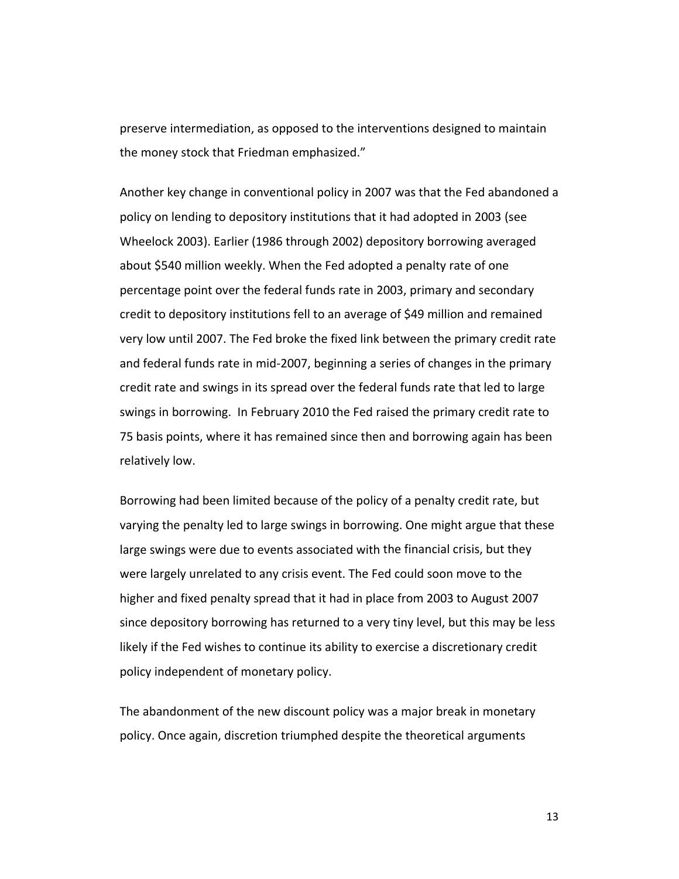preserve intermediation, as opposed to the interventions designed to maintain the money stock that Friedman emphasized."

Another key change in conventional policy in 2007 was that the Fed abandoned a policy on lending to depository institutions that it had adopted in 2003 (see Wheelock 2003). Earlier (1986 through 2002) depository borrowing averaged about \$540 million weekly. When the Fed adopted a penalty rate of one percentage point over the federal funds rate in 2003, primary and secondary credit to depository institutions fell to an average of \$49 million and remained very low until 2007. The Fed broke the fixed link between the primary credit rate and federal funds rate in mid‐2007, beginning a series of changes in the primary credit rate and swings in its spread over the federal funds rate that led to large swings in borrowing. In February 2010 the Fed raised the primary credit rate to 75 basis points, where it has remained since then and borrowing again has been relatively low.

Borrowing had been limited because of the policy of a penalty credit rate, but varying the penalty led to large swings in borrowing. One might argue that these large swings were due to events associated with the financial crisis, but they were largely unrelated to any crisis event. The Fed could soon move to the higher and fixed penalty spread that it had in place from 2003 to August 2007 since depository borrowing has returned to a very tiny level, but this may be less likely if the Fed wishes to continue its ability to exercise a discretionary credit policy independent of monetary policy.

The abandonment of the new discount policy was a major break in monetary policy. Once again, discretion triumphed despite the theoretical arguments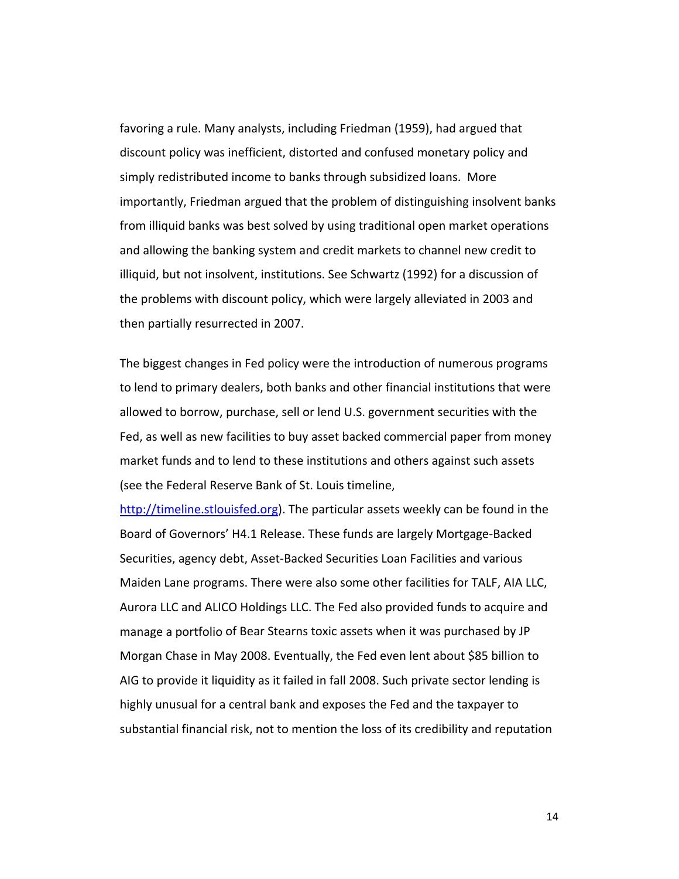favoring a rule. Many analysts, including Friedman (1959), had argued that discount policy was inefficient, distorted and confused monetary policy and simply redistributed income to banks through subsidized loans. More importantly, Friedman argued that the problem of distinguishing insolvent banks from illiquid banks was best solved by using traditional open market operations and allowing the banking system and credit markets to channel new credit to illiquid, but not insolvent, institutions. See Schwartz (1992) for a discussion of the problems with discount policy, which were largely alleviated in 2003 and then partially resurrected in 2007.

The biggest changes in Fed policy were the introduction of numerous programs to lend to primary dealers, both banks and other financial institutions that were allowed to borrow, purchase, sell or lend U.S. government securities with the Fed, as well as new facilities to buy asset backed commercial paper from money market funds and to lend to these institutions and others against such assets (see the Federal Reserve Bank of St. Louis timeline,

http://timeline.stlouisfed.org). The particular assets weekly can be found in the Board of Governors' H4.1 Release. These funds are largely Mortgage‐Backed Securities, agency debt, Asset‐Backed Securities Loan Facilities and various Maiden Lane programs. There were also some other facilities for TALF, AIA LLC, Aurora LLC and ALICO Holdings LLC. The Fed also provided funds to acquire and manage a portfolio of Bear Stearns toxic assets when it was purchased by JP Morgan Chase in May 2008. Eventually, the Fed even lent about \$85 billion to AIG to provide it liquidity as it failed in fall 2008. Such private sector lending is highly unusual for a central bank and exposes the Fed and the taxpayer to substantial financial risk, not to mention the loss of its credibility and reputation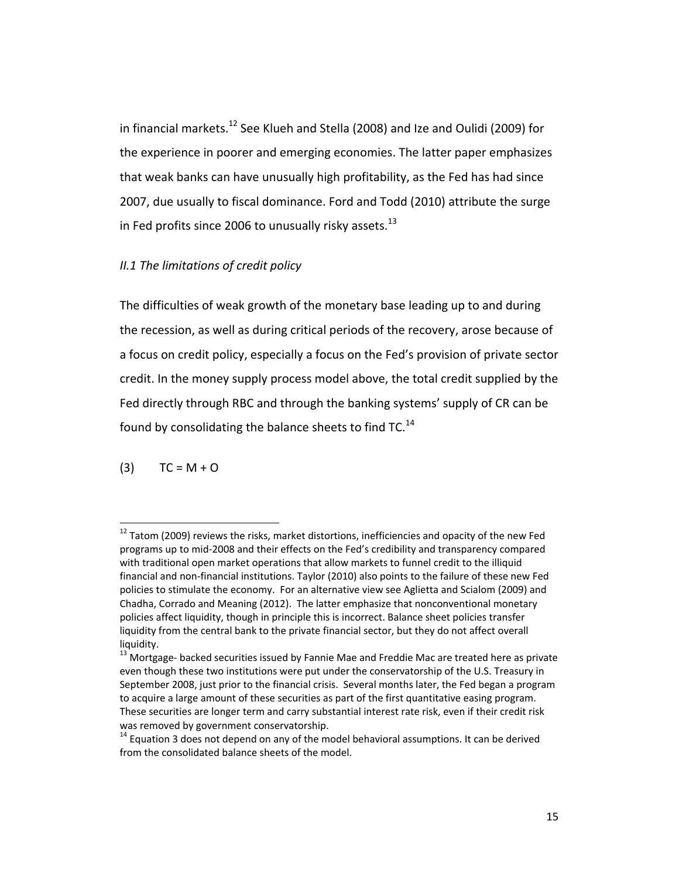in financial markets.<sup>12</sup> See Klueh and Stella (2008) and Ize and Oulidi (2009) for the experience in poorer and emerging economies. The latter paper emphasizes that weak banks can have unusually high profitability, as the Fed has had since 2007, due usually to fiscal dominance. Ford and Todd (2010) attribute the surge in Fed profits since 2006 to unusually risky assets.<sup>13</sup>

# *II.1 The limitations of credit policy*

The difficulties of weak growth of the monetary base leading up to and during the recession, as well as during critical periods of the recovery, arose because of a focus on credit policy, especially a focus on the Fed's provision of private sector credit. In the money supply process model above, the total credit supplied by the Fed directly through RBC and through the banking systems' supply of CR can be found by consolidating the balance sheets to find TC. $^{14}$ 

 $(3)$  TC = M + O

 $12$  Tatom (2009) reviews the risks, market distortions, inefficiencies and opacity of the new Fed programs up to mid‐2008 and their effects on the Fed's credibility and transparency compared with traditional open market operations that allow markets to funnel credit to the illiquid financial and non‐financial institutions. Taylor (2010) also points to the failure of these new Fed policies to stimulate the economy. For an alternative view see Aglietta and Scialom (2009) and Chadha, Corrado and Meaning (2012). The latter emphasize that nonconventional monetary policies affect liquidity, though in principle this is incorrect. Balance sheet policies transfer liquidity from the central bank to the private financial sector, but they do not affect overall liquidity.<br><sup>13</sup> Mortgage- backed securities issued by Fannie Mae and Freddie Mac are treated here as private

even though these two institutions were put under the conservatorship of the U.S. Treasury in September 2008, just prior to the financial crisis. Several months later, the Fed began a program to acquire a large amount of these securities as part of the first quantitative easing program. These securities are longer term and carry substantial interest rate risk, even if their credit risk was removed by government conservatorship.<br><sup>14</sup> Equation 3 does not depend on any of the model behavioral assumptions. It can be derived

from the consolidated balance sheets of the model.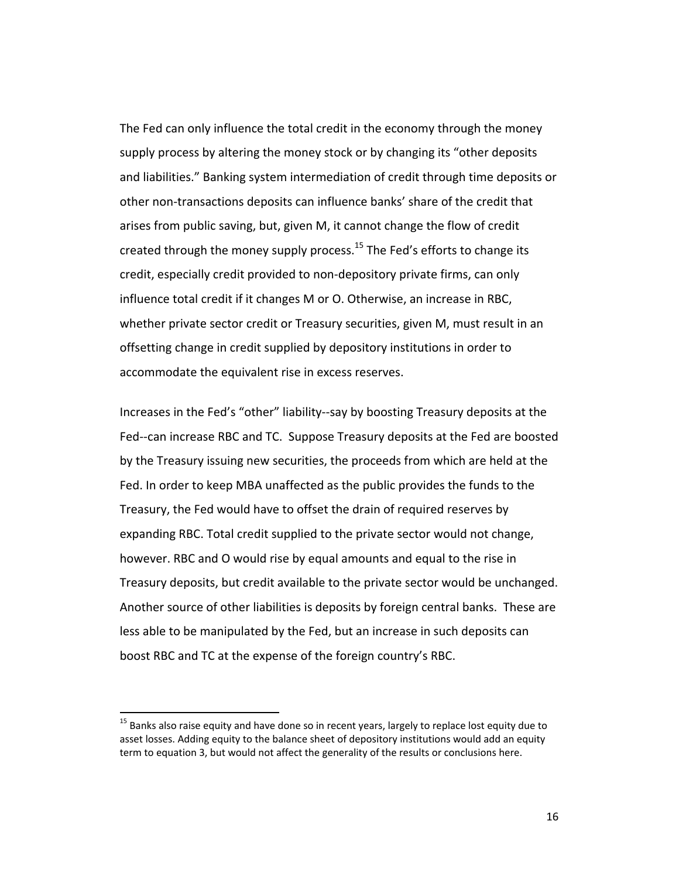The Fed can only influence the total credit in the economy through the money supply process by altering the money stock or by changing its "other deposits and liabilities." Banking system intermediation of credit through time deposits or other non-transactions deposits can influence banks' share of the credit that arises from public saving, but, given M, it cannot change the flow of credit created through the money supply process.<sup>15</sup> The Fed's efforts to change its credit, especially credit provided to non‐depository private firms, can only influence total credit if it changes M or O. Otherwise, an increase in RBC, whether private sector credit or Treasury securities, given M, must result in an offsetting change in credit supplied by depository institutions in order to accommodate the equivalent rise in excess reserves.

Increases in the Fed's "other" liability‐‐say by boosting Treasury deposits at the Fed‐‐can increase RBC and TC. Suppose Treasury deposits at the Fed are boosted by the Treasury issuing new securities, the proceeds from which are held at the Fed. In order to keep MBA unaffected as the public provides the funds to the Treasury, the Fed would have to offset the drain of required reserves by expanding RBC. Total credit supplied to the private sector would not change, however. RBC and O would rise by equal amounts and equal to the rise in Treasury deposits, but credit available to the private sector would be unchanged. Another source of other liabilities is deposits by foreign central banks. These are less able to be manipulated by the Fed, but an increase in such deposits can boost RBC and TC at the expense of the foreign country's RBC.

 $15$  Banks also raise equity and have done so in recent years, largely to replace lost equity due to asset losses. Adding equity to the balance sheet of depository institutions would add an equity term to equation 3, but would not affect the generality of the results or conclusions here.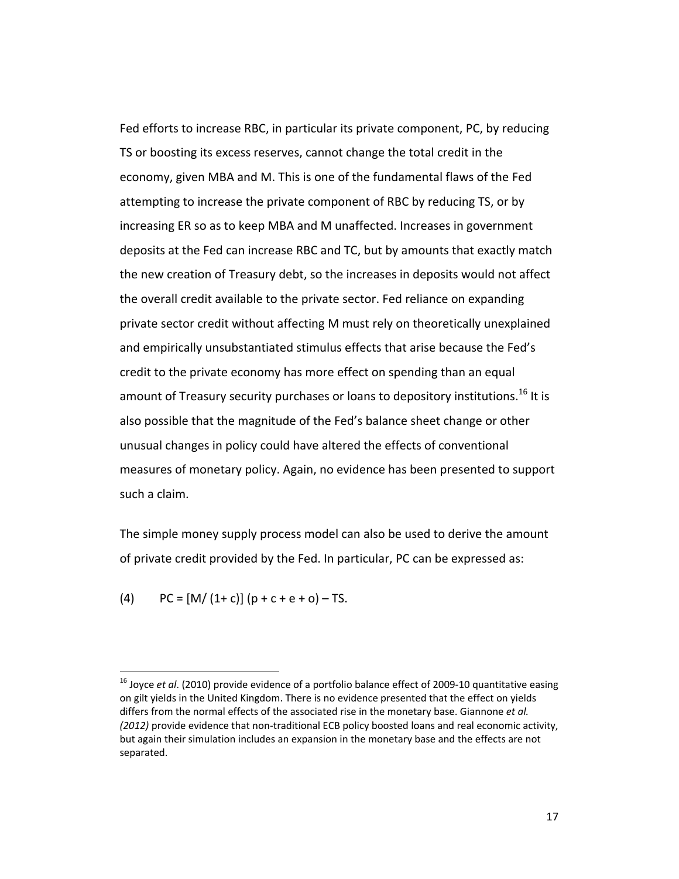Fed efforts to increase RBC, in particular its private component, PC, by reducing TS or boosting its excess reserves, cannot change the total credit in the economy, given MBA and M. This is one of the fundamental flaws of the Fed attempting to increase the private component of RBC by reducing TS, or by increasing ER so as to keep MBA and M unaffected. Increases in government deposits at the Fed can increase RBC and TC, but by amounts that exactly match the new creation of Treasury debt, so the increases in deposits would not affect the overall credit available to the private sector. Fed reliance on expanding private sector credit without affecting M must rely on theoretically unexplained and empirically unsubstantiated stimulus effects that arise because the Fed's credit to the private economy has more effect on spending than an equal amount of Treasury security purchases or loans to depository institutions.<sup>16</sup> It is also possible that the magnitude of the Fed's balance sheet change or other unusual changes in policy could have altered the effects of conventional measures of monetary policy. Again, no evidence has been presented to support such a claim.

The simple money supply process model can also be used to derive the amount of private credit provided by the Fed. In particular, PC can be expressed as:

(4)  $PC = [M/(1+c)] (p+c+e+o) - TS.$ 

<sup>16</sup> Joyce *et al*. (2010) provide evidence of a portfolio balance effect of 2009‐10 quantitative easing on gilt yields in the United Kingdom. There is no evidence presented that the effect on yields differs from the normal effects of the associated rise in the monetary base. Giannone *et al. (2012)* provide evidence that non‐traditional ECB policy boosted loans and real economic activity, but again their simulation includes an expansion in the monetary base and the effects are not separated.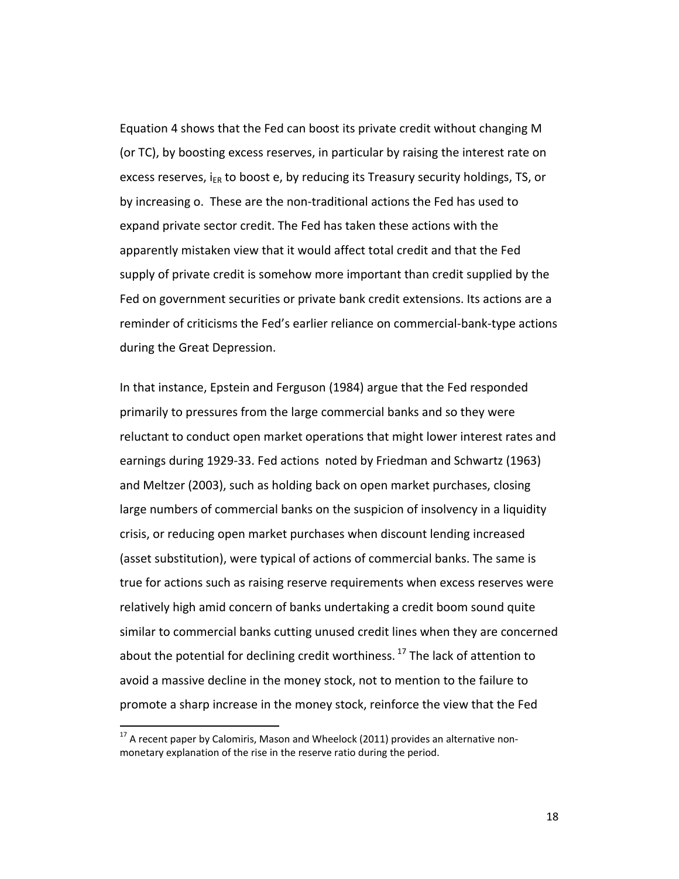Equation 4 shows that the Fed can boost its private credit without changing M (or TC), by boosting excess reserves, in particular by raising the interest rate on excess reserves,  $i_{ER}$  to boost e, by reducing its Treasury security holdings, TS, or by increasing o. These are the non‐traditional actions the Fed has used to expand private sector credit. The Fed has taken these actions with the apparently mistaken view that it would affect total credit and that the Fed supply of private credit is somehow more important than credit supplied by the Fed on government securities or private bank credit extensions. Its actions are a reminder of criticisms the Fed's earlier reliance on commercial‐bank‐type actions during the Great Depression.

In that instance, Epstein and Ferguson (1984) argue that the Fed responded primarily to pressures from the large commercial banks and so they were reluctant to conduct open market operations that might lower interest rates and earnings during 1929‐33. Fed actions noted by Friedman and Schwartz (1963) and Meltzer (2003), such as holding back on open market purchases, closing large numbers of commercial banks on the suspicion of insolvency in a liquidity crisis, or reducing open market purchases when discount lending increased (asset substitution), were typical of actions of commercial banks. The same is true for actions such as raising reserve requirements when excess reserves were relatively high amid concern of banks undertaking a credit boom sound quite similar to commercial banks cutting unused credit lines when they are concerned about the potential for declining credit worthiness.<sup>17</sup> The lack of attention to avoid a massive decline in the money stock, not to mention to the failure to promote a sharp increase in the money stock, reinforce the view that the Fed

 $17$  A recent paper by Calomiris, Mason and Wheelock (2011) provides an alternative nonmonetary explanation of the rise in the reserve ratio during the period.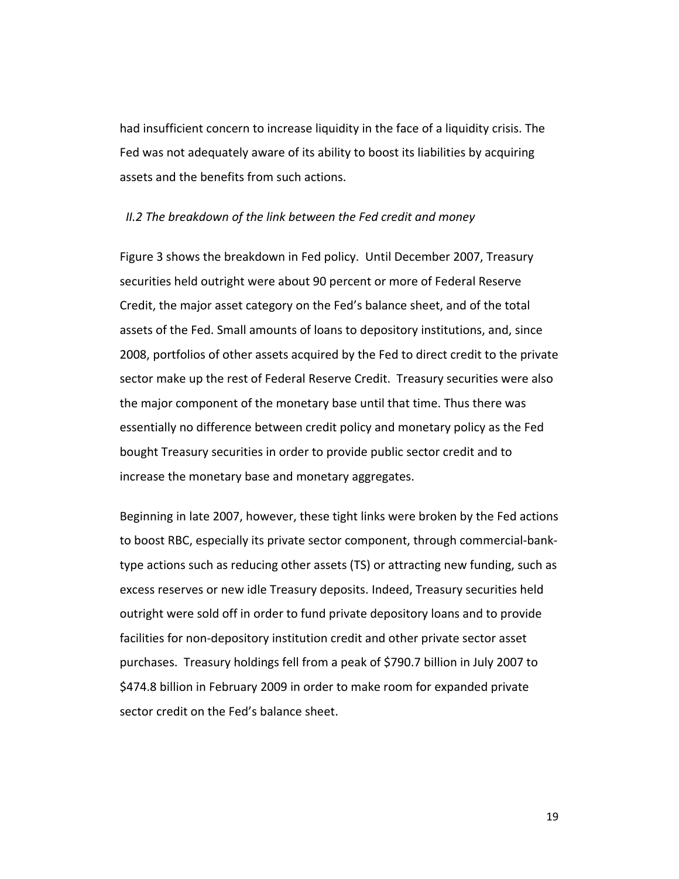had insufficient concern to increase liquidity in the face of a liquidity crisis. The Fed was not adequately aware of its ability to boost its liabilities by acquiring assets and the benefits from such actions.

#### *II.2 The breakdown of the link between the Fed credit and money*

Figure 3 shows the breakdown in Fed policy. Until December 2007, Treasury securities held outright were about 90 percent or more of Federal Reserve Credit, the major asset category on the Fed's balance sheet, and of the total assets of the Fed. Small amounts of loans to depository institutions, and, since 2008, portfolios of other assets acquired by the Fed to direct credit to the private sector make up the rest of Federal Reserve Credit. Treasury securities were also the major component of the monetary base until that time. Thus there was essentially no difference between credit policy and monetary policy as the Fed bought Treasury securities in order to provide public sector credit and to increase the monetary base and monetary aggregates.

Beginning in late 2007, however, these tight links were broken by the Fed actions to boost RBC, especially its private sector component, through commercial‐bank‐ type actions such as reducing other assets (TS) or attracting new funding, such as excess reserves or new idle Treasury deposits. Indeed, Treasury securities held outright were sold off in order to fund private depository loans and to provide facilities for non‐depository institution credit and other private sector asset purchases. Treasury holdings fell from a peak of \$790.7 billion in July 2007 to \$474.8 billion in February 2009 in order to make room for expanded private sector credit on the Fed's balance sheet.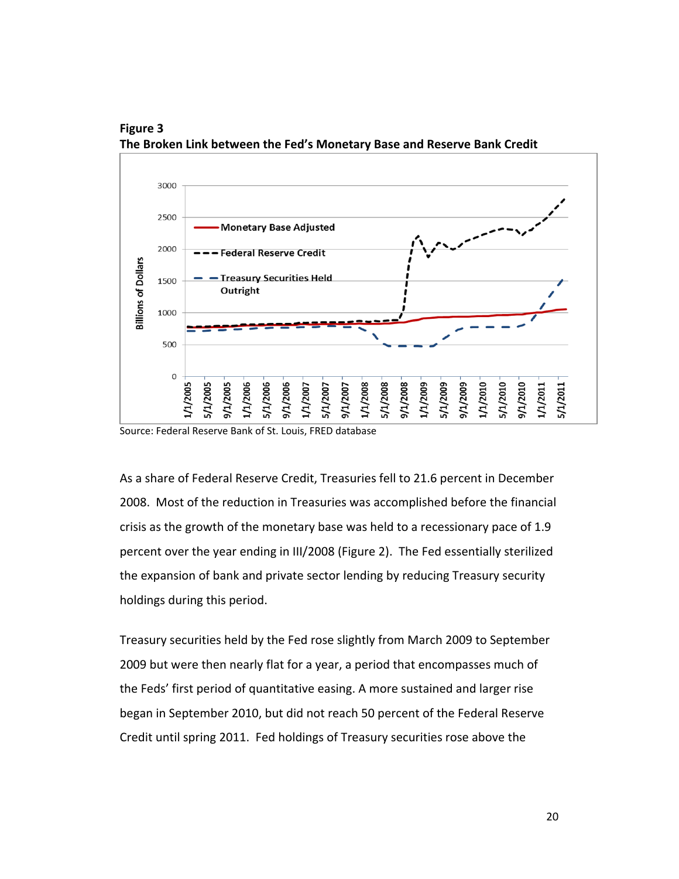**Figure 3 The Broken Link between the Fed's Monetary Base and Reserve Bank Credit**



Source: Federal Reserve Bank of St. Louis, FRED database

As a share of Federal Reserve Credit, Treasuries fell to 21.6 percent in December 2008. Most of the reduction in Treasuries was accomplished before the financial crisis as the growth of the monetary base was held to a recessionary pace of 1.9 percent over the year ending in III/2008 (Figure 2). The Fed essentially sterilized the expansion of bank and private sector lending by reducing Treasury security holdings during this period.

Treasury securities held by the Fed rose slightly from March 2009 to September 2009 but were then nearly flat for a year, a period that encompasses much of the Feds' first period of quantitative easing. A more sustained and larger rise began in September 2010, but did not reach 50 percent of the Federal Reserve Credit until spring 2011. Fed holdings of Treasury securities rose above the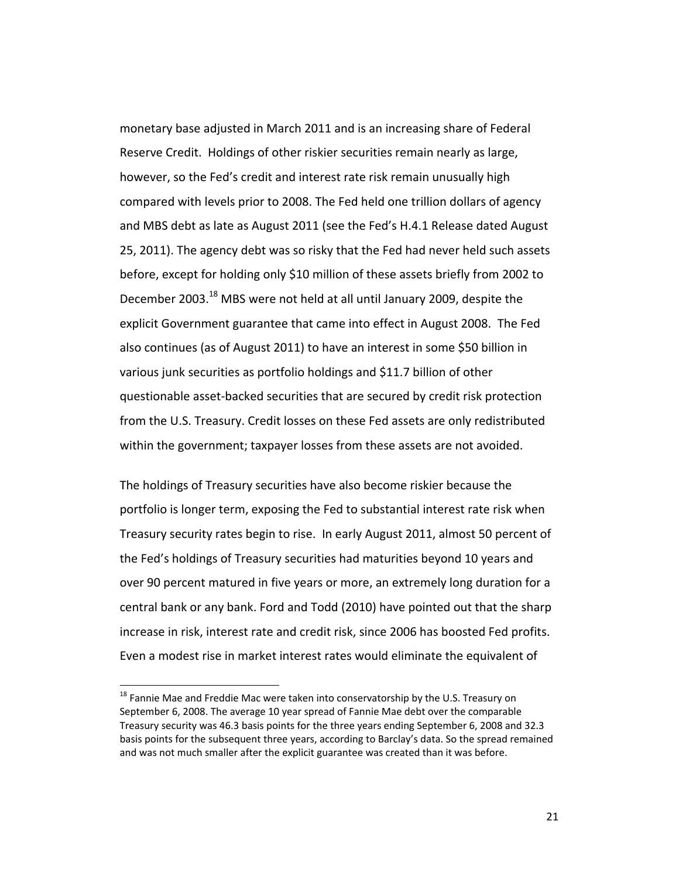monetary base adjusted in March 2011 and is an increasing share of Federal Reserve Credit. Holdings of other riskier securities remain nearly as large, however, so the Fed's credit and interest rate risk remain unusually high compared with levels prior to 2008. The Fed held one trillion dollars of agency and MBS debt as late as August 2011 (see the Fed's H.4.1 Release dated August 25, 2011). The agency debt was so risky that the Fed had never held such assets before, except for holding only \$10 million of these assets briefly from 2002 to December 2003.<sup>18</sup> MBS were not held at all until January 2009, despite the explicit Government guarantee that came into effect in August 2008. The Fed also continues (as of August 2011) to have an interest in some \$50 billion in various junk securities as portfolio holdings and \$11.7 billion of other questionable asset‐backed securities that are secured by credit risk protection from the U.S. Treasury. Credit losses on these Fed assets are only redistributed within the government; taxpayer losses from these assets are not avoided.

The holdings of Treasury securities have also become riskier because the portfolio is longer term, exposing the Fed to substantial interest rate risk when Treasury security rates begin to rise. In early August 2011, almost 50 percent of the Fed's holdings of Treasury securities had maturities beyond 10 years and over 90 percent matured in five years or more, an extremely long duration for a central bank or any bank. Ford and Todd (2010) have pointed out that the sharp increase in risk, interest rate and credit risk, since 2006 has boosted Fed profits. Even a modest rise in market interest rates would eliminate the equivalent of

 $18$  Fannie Mae and Freddie Mac were taken into conservatorship by the U.S. Treasury on September 6, 2008. The average 10 year spread of Fannie Mae debt over the comparable Treasury security was 46.3 basis points for the three years ending September 6, 2008 and 32.3 basis points for the subsequent three years, according to Barclay's data. So the spread remained and was not much smaller after the explicit guarantee was created than it was before.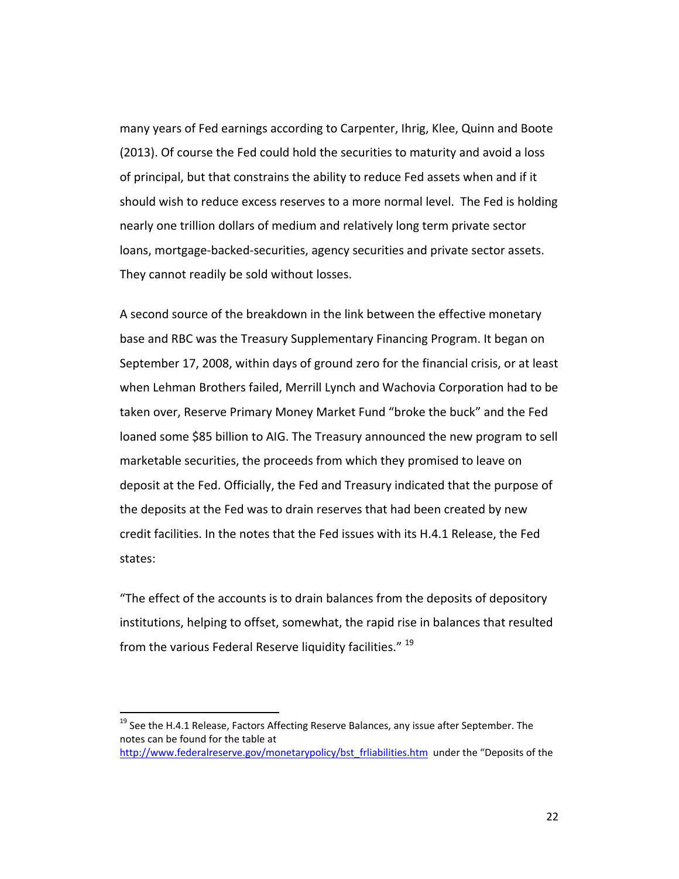many years of Fed earnings according to Carpenter, Ihrig, Klee, Quinn and Boote (2013). Of course the Fed could hold the securities to maturity and avoid a loss of principal, but that constrains the ability to reduce Fed assets when and if it should wish to reduce excess reserves to a more normal level. The Fed is holding nearly one trillion dollars of medium and relatively long term private sector loans, mortgage-backed-securities, agency securities and private sector assets. They cannot readily be sold without losses.

A second source of the breakdown in the link between the effective monetary base and RBC was the Treasury Supplementary Financing Program. It began on September 17, 2008, within days of ground zero for the financial crisis, or at least when Lehman Brothers failed, Merrill Lynch and Wachovia Corporation had to be taken over, Reserve Primary Money Market Fund "broke the buck" and the Fed loaned some \$85 billion to AIG. The Treasury announced the new program to sell marketable securities, the proceeds from which they promised to leave on deposit at the Fed. Officially, the Fed and Treasury indicated that the purpose of the deposits at the Fed was to drain reserves that had been created by new credit facilities. In the notes that the Fed issues with its H.4.1 Release, the Fed states:

"The effect of the accounts is to drain balances from the deposits of depository institutions, helping to offset, somewhat, the rapid rise in balances that resulted from the various Federal Reserve liquidity facilities." <sup>19</sup>

<sup>&</sup>lt;sup>19</sup> See the H.4.1 Release, Factors Affecting Reserve Balances, any issue after September. The notes can be found for the table at

http://www.federalreserve.gov/monetarypolicy/bst\_frliabilities.htm under the "Deposits of the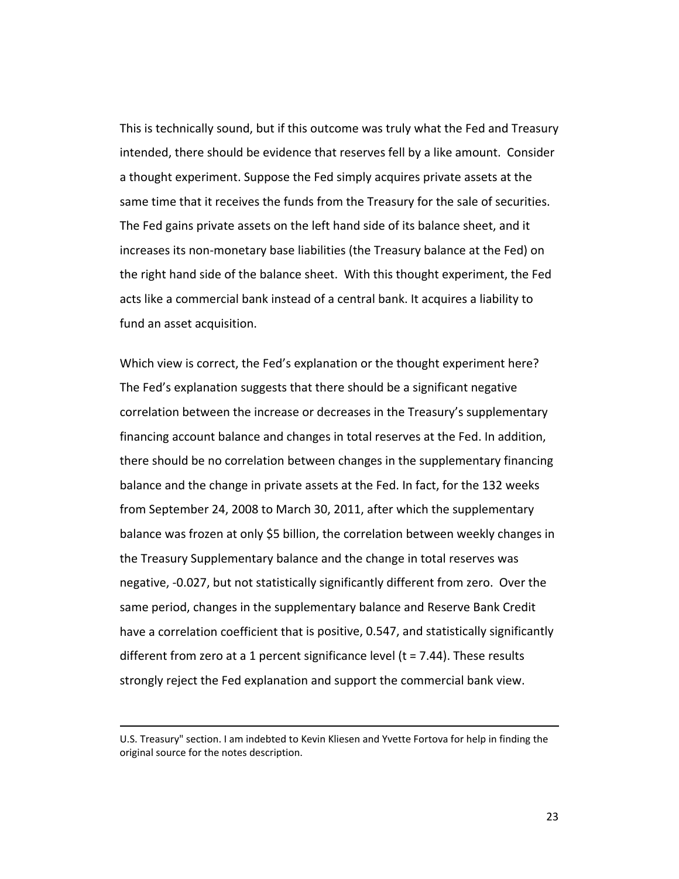This is technically sound, but if this outcome was truly what the Fed and Treasury intended, there should be evidence that reserves fell by a like amount. Consider a thought experiment. Suppose the Fed simply acquires private assets at the same time that it receives the funds from the Treasury for the sale of securities. The Fed gains private assets on the left hand side of its balance sheet, and it increases its non‐monetary base liabilities (the Treasury balance at the Fed) on the right hand side of the balance sheet. With this thought experiment, the Fed acts like a commercial bank instead of a central bank. It acquires a liability to fund an asset acquisition.

Which view is correct, the Fed's explanation or the thought experiment here? The Fed's explanation suggests that there should be a significant negative correlation between the increase or decreases in the Treasury's supplementary financing account balance and changes in total reserves at the Fed. In addition, there should be no correlation between changes in the supplementary financing balance and the change in private assets at the Fed. In fact, for the 132 weeks from September 24, 2008 to March 30, 2011, after which the supplementary balance was frozen at only \$5 billion, the correlation between weekly changes in the Treasury Supplementary balance and the change in total reserves was negative, ‐0.027, but not statistically significantly different from zero. Over the same period, changes in the supplementary balance and Reserve Bank Credit have a correlation coefficient that is positive, 0.547, and statistically significantly different from zero at a 1 percent significance level ( $t = 7.44$ ). These results strongly reject the Fed explanation and support the commercial bank view.

<u> 1989 - Johann Stein, marwolaethau a bhann an chomhair an t-an chomhair an chomhair an chomhair an chomhair a</u>

U.S. Treasury" section. I am indebted to Kevin Kliesen and Yvette Fortova for help in finding the original source for the notes description.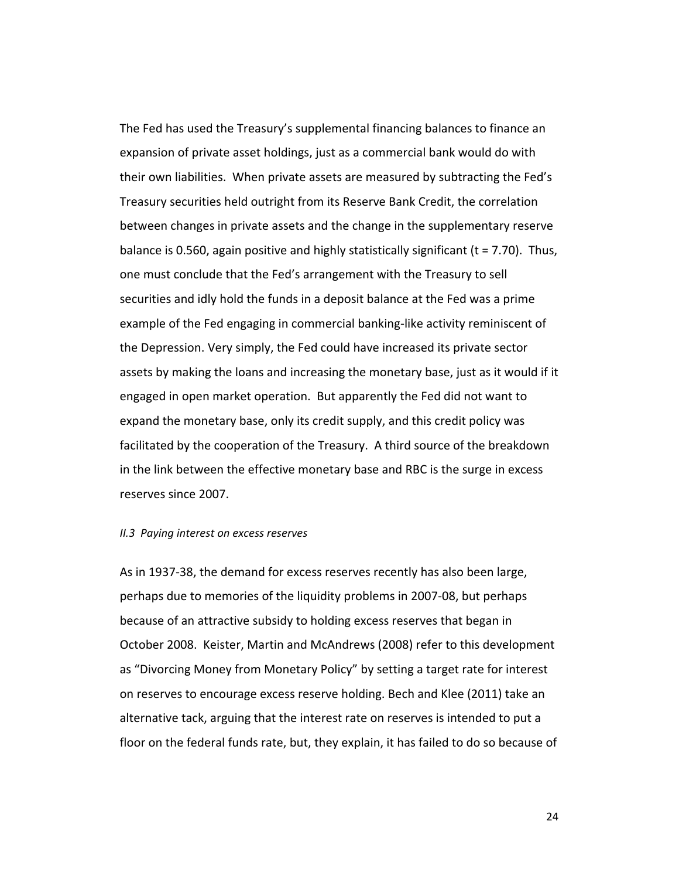The Fed has used the Treasury's supplemental financing balances to finance an expansion of private asset holdings, just as a commercial bank would do with their own liabilities. When private assets are measured by subtracting the Fed's Treasury securities held outright from its Reserve Bank Credit, the correlation between changes in private assets and the change in the supplementary reserve balance is 0.560, again positive and highly statistically significant ( $t = 7.70$ ). Thus, one must conclude that the Fed's arrangement with the Treasury to sell securities and idly hold the funds in a deposit balance at the Fed was a prime example of the Fed engaging in commercial banking‐like activity reminiscent of the Depression. Very simply, the Fed could have increased its private sector assets by making the loans and increasing the monetary base, just as it would if it engaged in open market operation. But apparently the Fed did not want to expand the monetary base, only its credit supply, and this credit policy was facilitated by the cooperation of the Treasury. A third source of the breakdown in the link between the effective monetary base and RBC is the surge in excess reserves since 2007.

#### *II.3 Paying interest on excess reserves*

As in 1937‐38, the demand for excess reserves recently has also been large, perhaps due to memories of the liquidity problems in 2007‐08, but perhaps because of an attractive subsidy to holding excess reserves that began in October 2008. Keister, Martin and McAndrews (2008) refer to this development as "Divorcing Money from Monetary Policy" by setting a target rate for interest on reserves to encourage excess reserve holding. Bech and Klee (2011) take an alternative tack, arguing that the interest rate on reserves is intended to put a floor on the federal funds rate, but, they explain, it has failed to do so because of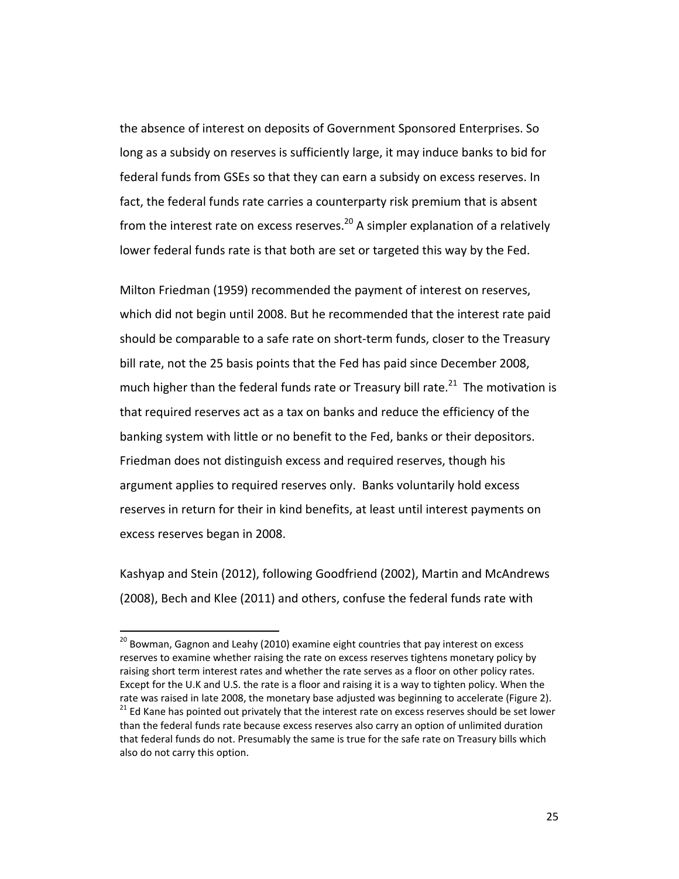the absence of interest on deposits of Government Sponsored Enterprises. So long as a subsidy on reserves is sufficiently large, it may induce banks to bid for federal funds from GSEs so that they can earn a subsidy on excess reserves. In fact, the federal funds rate carries a counterparty risk premium that is absent from the interest rate on excess reserves.<sup>20</sup> A simpler explanation of a relatively lower federal funds rate is that both are set or targeted this way by the Fed.

Milton Friedman (1959) recommended the payment of interest on reserves, which did not begin until 2008. But he recommended that the interest rate paid should be comparable to a safe rate on short-term funds, closer to the Treasury bill rate, not the 25 basis points that the Fed has paid since December 2008, much higher than the federal funds rate or Treasury bill rate.<sup>21</sup> The motivation is that required reserves act as a tax on banks and reduce the efficiency of the banking system with little or no benefit to the Fed, banks or their depositors. Friedman does not distinguish excess and required reserves, though his argument applies to required reserves only. Banks voluntarily hold excess reserves in return for their in kind benefits, at least until interest payments on excess reserves began in 2008.

Kashyap and Stein (2012), following Goodfriend (2002), Martin and McAndrews (2008), Bech and Klee (2011) and others, confuse the federal funds rate with

<sup>&</sup>lt;sup>20</sup> Bowman, Gagnon and Leahy (2010) examine eight countries that pay interest on excess reserves to examine whether raising the rate on excess reserves tightens monetary policy by raising short term interest rates and whether the rate serves as a floor on other policy rates. Except for the U.K and U.S. the rate is a floor and raising it is a way to tighten policy. When the rate was raised in late 2008, the monetary base adjusted was beginning to accelerate (Figure 2).<br><sup>21</sup> Ed Kane has pointed out privately that the interest rate on excess reserves should be set lower than the federal funds rate because excess reserves also carry an option of unlimited duration that federal funds do not. Presumably the same is true for the safe rate on Treasury bills which also do not carry this option.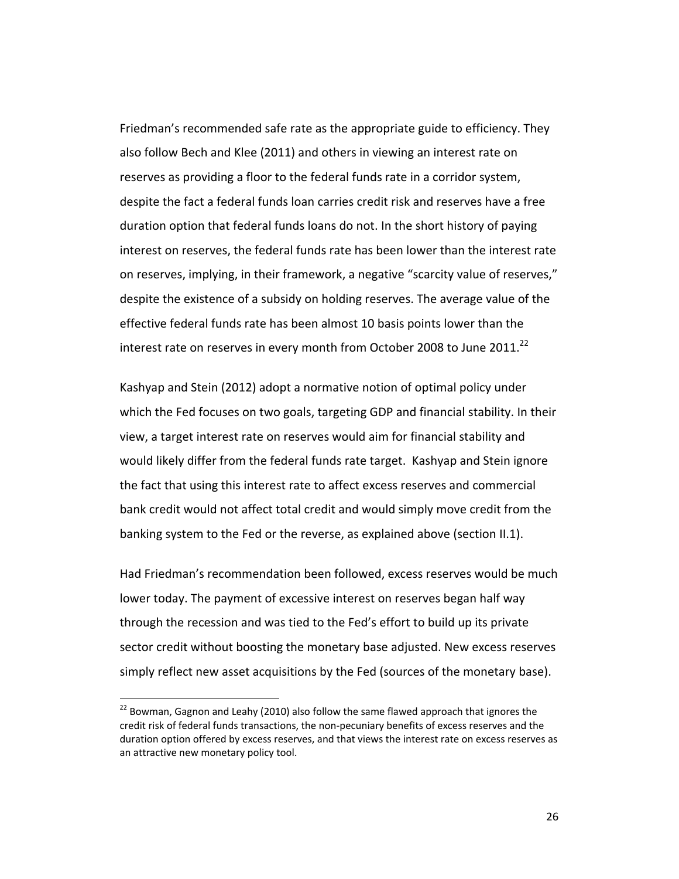Friedman's recommended safe rate as the appropriate guide to efficiency. They also follow Bech and Klee (2011) and others in viewing an interest rate on reserves as providing a floor to the federal funds rate in a corridor system, despite the fact a federal funds loan carries credit risk and reserves have a free duration option that federal funds loans do not. In the short history of paying interest on reserves, the federal funds rate has been lower than the interest rate on reserves, implying, in their framework, a negative "scarcity value of reserves," despite the existence of a subsidy on holding reserves. The average value of the effective federal funds rate has been almost 10 basis points lower than the interest rate on reserves in every month from October 2008 to June 2011. $^{22}$ 

Kashyap and Stein (2012) adopt a normative notion of optimal policy under which the Fed focuses on two goals, targeting GDP and financial stability. In their view, a target interest rate on reserves would aim for financial stability and would likely differ from the federal funds rate target. Kashyap and Stein ignore the fact that using this interest rate to affect excess reserves and commercial bank credit would not affect total credit and would simply move credit from the banking system to the Fed or the reverse, as explained above (section II.1).

Had Friedman's recommendation been followed, excess reserves would be much lower today. The payment of excessive interest on reserves began half way through the recession and was tied to the Fed's effort to build up its private sector credit without boosting the monetary base adjusted. New excess reserves simply reflect new asset acquisitions by the Fed (sources of the monetary base).

 $22$  Bowman, Gagnon and Leahy (2010) also follow the same flawed approach that ignores the credit risk of federal funds transactions, the non‐pecuniary benefits of excess reserves and the duration option offered by excess reserves, and that views the interest rate on excess reserves as an attractive new monetary policy tool.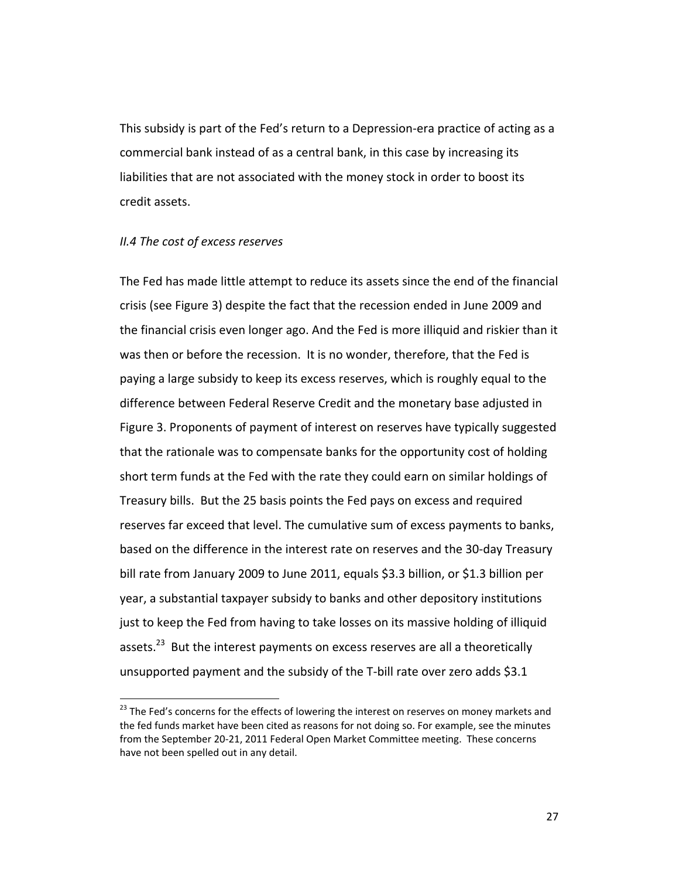This subsidy is part of the Fed's return to a Depression‐era practice of acting as a commercial bank instead of as a central bank, in this case by increasing its liabilities that are not associated with the money stock in order to boost its credit assets.

## *II.4 The cost of excess reserves*

The Fed has made little attempt to reduce its assets since the end of the financial crisis (see Figure 3) despite the fact that the recession ended in June 2009 and the financial crisis even longer ago. And the Fed is more illiquid and riskier than it was then or before the recession. It is no wonder, therefore, that the Fed is paying a large subsidy to keep its excess reserves, which is roughly equal to the difference between Federal Reserve Credit and the monetary base adjusted in Figure 3. Proponents of payment of interest on reserves have typically suggested that the rationale was to compensate banks for the opportunity cost of holding short term funds at the Fed with the rate they could earn on similar holdings of Treasury bills. But the 25 basis points the Fed pays on excess and required reserves far exceed that level. The cumulative sum of excess payments to banks, based on the difference in the interest rate on reserves and the 30‐day Treasury bill rate from January 2009 to June 2011, equals \$3.3 billion, or \$1.3 billion per year, a substantial taxpayer subsidy to banks and other depository institutions just to keep the Fed from having to take losses on its massive holding of illiquid assets.<sup>23</sup> But the interest payments on excess reserves are all a theoretically unsupported payment and the subsidy of the T-bill rate over zero adds \$3.1

<sup>&</sup>lt;sup>23</sup> The Fed's concerns for the effects of lowering the interest on reserves on money markets and the fed funds market have been cited as reasons for not doing so. For example, see the minutes from the September 20‐21, 2011 Federal Open Market Committee meeting. These concerns have not been spelled out in any detail.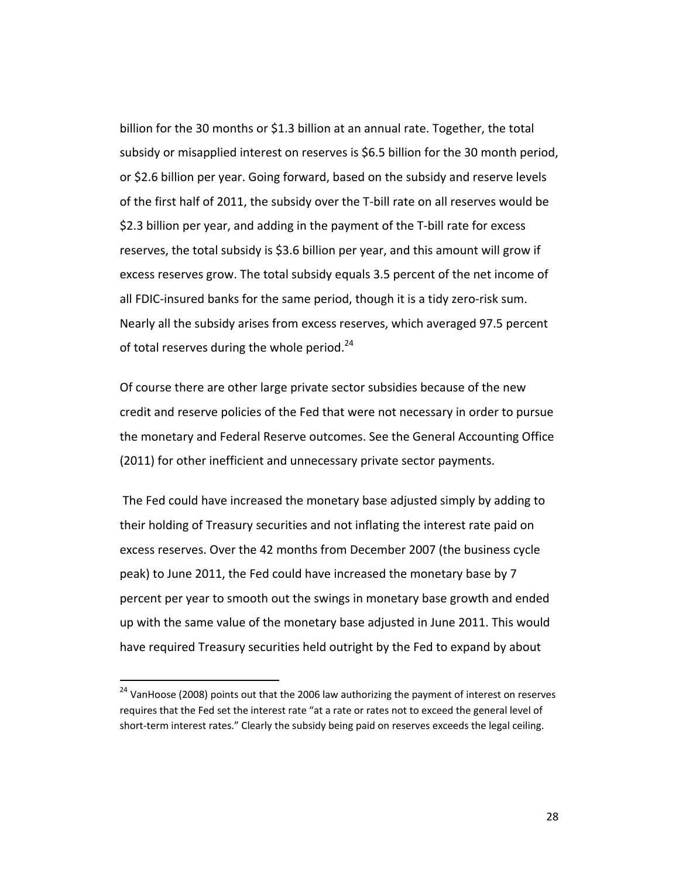billion for the 30 months or \$1.3 billion at an annual rate. Together, the total subsidy or misapplied interest on reserves is \$6.5 billion for the 30 month period, or \$2.6 billion per year. Going forward, based on the subsidy and reserve levels of the first half of 2011, the subsidy over the T‐bill rate on all reserves would be \$2.3 billion per year, and adding in the payment of the T‐bill rate for excess reserves, the total subsidy is \$3.6 billion per year, and this amount will grow if excess reserves grow. The total subsidy equals 3.5 percent of the net income of all FDIC‐insured banks for the same period, though it is a tidy zero‐risk sum. Nearly all the subsidy arises from excess reserves, which averaged 97.5 percent of total reserves during the whole period.<sup>24</sup>

Of course there are other large private sector subsidies because of the new credit and reserve policies of the Fed that were not necessary in order to pursue the monetary and Federal Reserve outcomes. See the General Accounting Office (2011) for other inefficient and unnecessary private sector payments.

The Fed could have increased the monetary base adjusted simply by adding to their holding of Treasury securities and not inflating the interest rate paid on excess reserves. Over the 42 months from December 2007 (the business cycle peak) to June 2011, the Fed could have increased the monetary base by 7 percent per year to smooth out the swings in monetary base growth and ended up with the same value of the monetary base adjusted in June 2011. This would have required Treasury securities held outright by the Fed to expand by about

 $24$  VanHoose (2008) points out that the 2006 law authorizing the payment of interest on reserves requires that the Fed set the interest rate "at a rate or rates not to exceed the general level of short-term interest rates." Clearly the subsidy being paid on reserves exceeds the legal ceiling.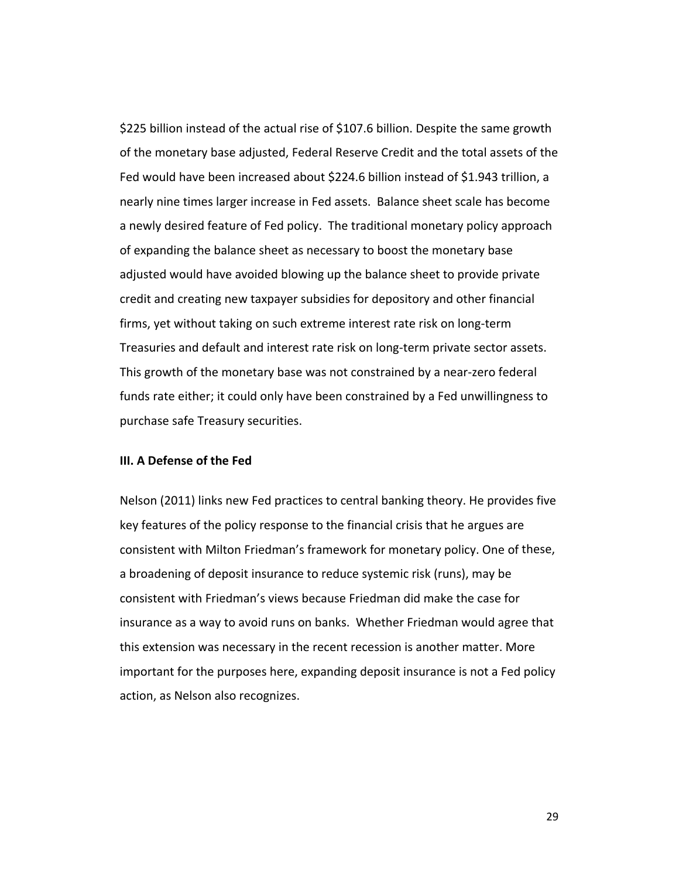\$225 billion instead of the actual rise of \$107.6 billion. Despite the same growth of the monetary base adjusted, Federal Reserve Credit and the total assets of the Fed would have been increased about \$224.6 billion instead of \$1.943 trillion, a nearly nine times larger increase in Fed assets. Balance sheet scale has become a newly desired feature of Fed policy. The traditional monetary policy approach of expanding the balance sheet as necessary to boost the monetary base adjusted would have avoided blowing up the balance sheet to provide private credit and creating new taxpayer subsidies for depository and other financial firms, yet without taking on such extreme interest rate risk on long‐term Treasuries and default and interest rate risk on long‐term private sector assets. This growth of the monetary base was not constrained by a near‐zero federal funds rate either; it could only have been constrained by a Fed unwillingness to purchase safe Treasury securities.

### **III. A Defense of the Fed**

Nelson (2011) links new Fed practices to central banking theory. He provides five key features of the policy response to the financial crisis that he argues are consistent with Milton Friedman's framework for monetary policy. One of these, a broadening of deposit insurance to reduce systemic risk (runs), may be consistent with Friedman's views because Friedman did make the case for insurance as a way to avoid runs on banks. Whether Friedman would agree that this extension was necessary in the recent recession is another matter. More important for the purposes here, expanding deposit insurance is not a Fed policy action, as Nelson also recognizes.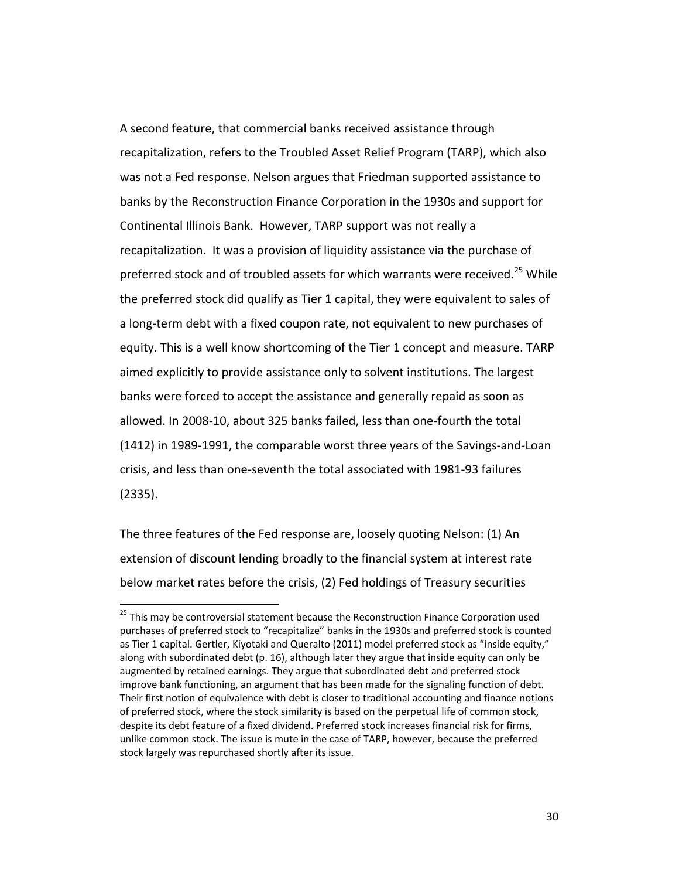A second feature, that commercial banks received assistance through recapitalization, refers to the Troubled Asset Relief Program (TARP), which also was not a Fed response. Nelson argues that Friedman supported assistance to banks by the Reconstruction Finance Corporation in the 1930s and support for Continental Illinois Bank. However, TARP support was not really a recapitalization. It was a provision of liquidity assistance via the purchase of preferred stock and of troubled assets for which warrants were received.<sup>25</sup> While the preferred stock did qualify as Tier 1 capital, they were equivalent to sales of a long‐term debt with a fixed coupon rate, not equivalent to new purchases of equity. This is a well know shortcoming of the Tier 1 concept and measure. TARP aimed explicitly to provide assistance only to solvent institutions. The largest banks were forced to accept the assistance and generally repaid as soon as allowed. In 2008‐10, about 325 banks failed, less than one‐fourth the total (1412) in 1989‐1991, the comparable worst three years of the Savings‐and‐Loan crisis, and less than one‐seventh the total associated with 1981‐93 failures (2335).

The three features of the Fed response are, loosely quoting Nelson: (1) An extension of discount lending broadly to the financial system at interest rate below market rates before the crisis, (2) Fed holdings of Treasury securities

<sup>&</sup>lt;sup>25</sup> This may be controversial statement because the Reconstruction Finance Corporation used purchases of preferred stock to "recapitalize" banks in the 1930s and preferred stock is counted as Tier 1 capital. Gertler, Kiyotaki and Queralto (2011) model preferred stock as "inside equity," along with subordinated debt (p. 16), although later they argue that inside equity can only be augmented by retained earnings. They argue that subordinated debt and preferred stock improve bank functioning, an argument that has been made for the signaling function of debt. Their first notion of equivalence with debt is closer to traditional accounting and finance notions of preferred stock, where the stock similarity is based on the perpetual life of common stock, despite its debt feature of a fixed dividend. Preferred stock increases financial risk for firms, unlike common stock. The issue is mute in the case of TARP, however, because the preferred stock largely was repurchased shortly after its issue.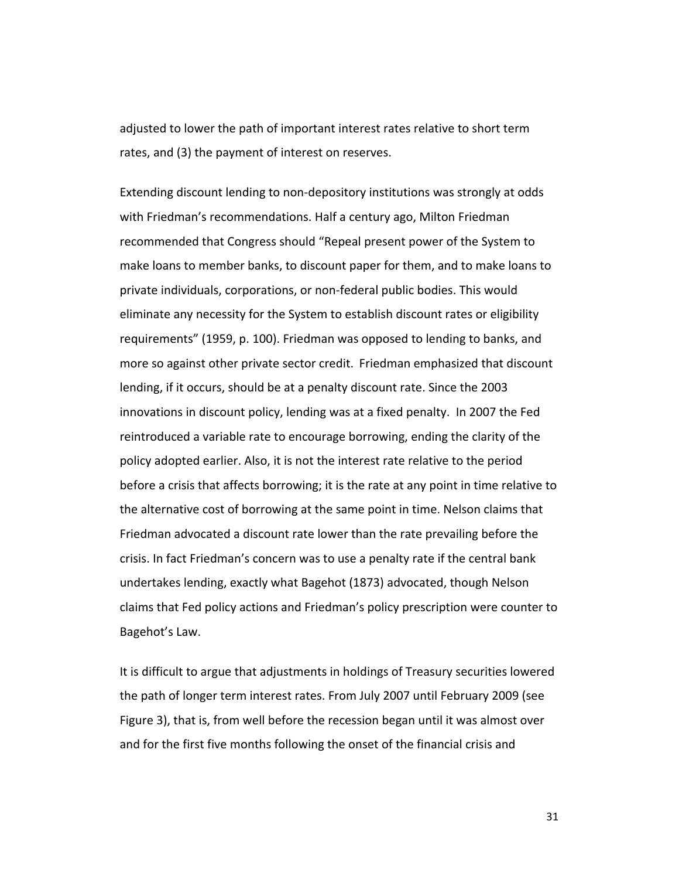adjusted to lower the path of important interest rates relative to short term rates, and (3) the payment of interest on reserves.

Extending discount lending to non‐depository institutions was strongly at odds with Friedman's recommendations. Half a century ago, Milton Friedman recommended that Congress should "Repeal present power of the System to make loans to member banks, to discount paper for them, and to make loans to private individuals, corporations, or non‐federal public bodies. This would eliminate any necessity for the System to establish discount rates or eligibility requirements" (1959, p. 100). Friedman was opposed to lending to banks, and more so against other private sector credit. Friedman emphasized that discount lending, if it occurs, should be at a penalty discount rate. Since the 2003 innovations in discount policy, lending was at a fixed penalty. In 2007 the Fed reintroduced a variable rate to encourage borrowing, ending the clarity of the policy adopted earlier. Also, it is not the interest rate relative to the period before a crisis that affects borrowing; it is the rate at any point in time relative to the alternative cost of borrowing at the same point in time. Nelson claims that Friedman advocated a discount rate lower than the rate prevailing before the crisis. In fact Friedman's concern was to use a penalty rate if the central bank undertakes lending, exactly what Bagehot (1873) advocated, though Nelson claims that Fed policy actions and Friedman's policy prescription were counter to Bagehot's Law.

It is difficult to argue that adjustments in holdings of Treasury securities lowered the path of longer term interest rates. From July 2007 until February 2009 (see Figure 3), that is, from well before the recession began until it was almost over and for the first five months following the onset of the financial crisis and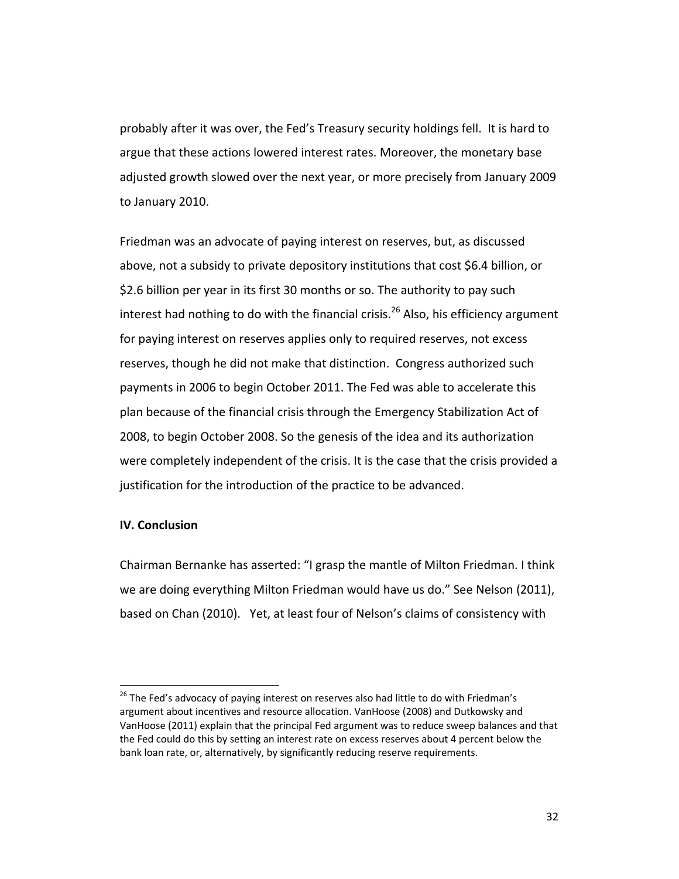probably after it was over, the Fed's Treasury security holdings fell. It is hard to argue that these actions lowered interest rates. Moreover, the monetary base adjusted growth slowed over the next year, or more precisely from January 2009 to January 2010.

Friedman was an advocate of paying interest on reserves, but, as discussed above, not a subsidy to private depository institutions that cost \$6.4 billion, or \$2.6 billion per year in its first 30 months or so. The authority to pay such interest had nothing to do with the financial crisis.<sup>26</sup> Also, his efficiency argument for paying interest on reserves applies only to required reserves, not excess reserves, though he did not make that distinction. Congress authorized such payments in 2006 to begin October 2011. The Fed was able to accelerate this plan because of the financial crisis through the Emergency Stabilization Act of 2008, to begin October 2008. So the genesis of the idea and its authorization were completely independent of the crisis. It is the case that the crisis provided a justification for the introduction of the practice to be advanced.

# **IV. Conclusion**

Chairman Bernanke has asserted: "I grasp the mantle of Milton Friedman. I think we are doing everything Milton Friedman would have us do." See Nelson (2011), based on Chan (2010). Yet, at least four of Nelson's claims of consistency with

<sup>&</sup>lt;sup>26</sup> The Fed's advocacy of paying interest on reserves also had little to do with Friedman's argument about incentives and resource allocation. VanHoose (2008) and Dutkowsky and VanHoose (2011) explain that the principal Fed argument was to reduce sweep balances and that the Fed could do this by setting an interest rate on excess reserves about 4 percent below the bank loan rate, or, alternatively, by significantly reducing reserve requirements.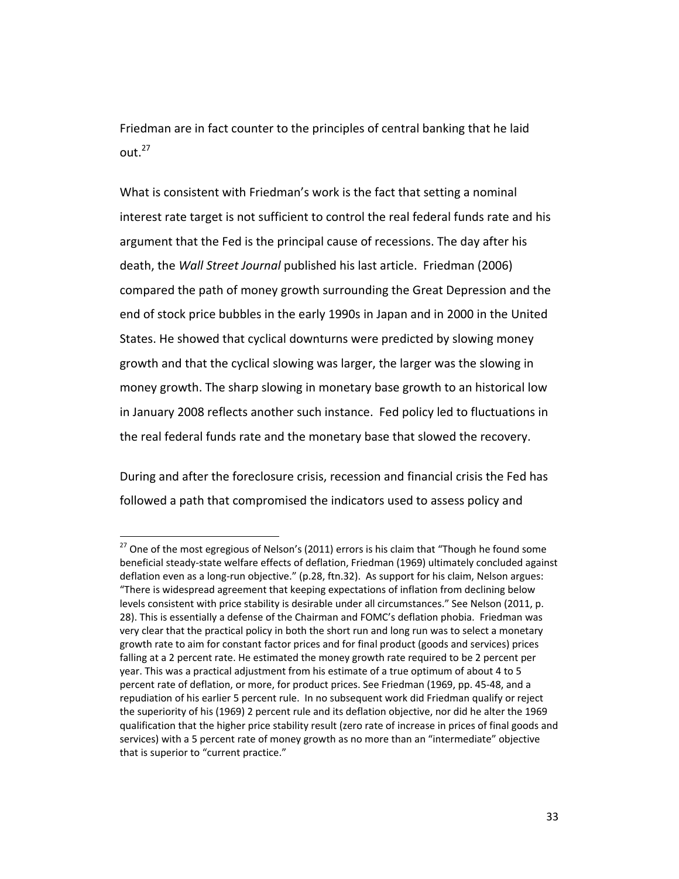Friedman are in fact counter to the principles of central banking that he laid  $out<sup>27</sup>$ 

What is consistent with Friedman's work is the fact that setting a nominal interest rate target is not sufficient to control the real federal funds rate and his argument that the Fed is the principal cause of recessions. The day after his death, the *Wall Street Journal* published his last article. Friedman (2006) compared the path of money growth surrounding the Great Depression and the end of stock price bubbles in the early 1990s in Japan and in 2000 in the United States. He showed that cyclical downturns were predicted by slowing money growth and that the cyclical slowing was larger, the larger was the slowing in money growth. The sharp slowing in monetary base growth to an historical low in January 2008 reflects another such instance. Fed policy led to fluctuations in the real federal funds rate and the monetary base that slowed the recovery.

During and after the foreclosure crisis, recession and financial crisis the Fed has followed a path that compromised the indicators used to assess policy and

 $27$  One of the most egregious of Nelson's (2011) errors is his claim that "Though he found some beneficial steady‐state welfare effects of deflation, Friedman (1969) ultimately concluded against deflation even as a long-run objective." (p.28, ftn.32). As support for his claim, Nelson argues: "There is widespread agreement that keeping expectations of inflation from declining below levels consistent with price stability is desirable under all circumstances." See Nelson (2011, p. 28). This is essentially a defense of the Chairman and FOMC's deflation phobia. Friedman was very clear that the practical policy in both the short run and long run was to select a monetary growth rate to aim for constant factor prices and for final product (goods and services) prices falling at a 2 percent rate. He estimated the money growth rate required to be 2 percent per year. This was a practical adjustment from his estimate of a true optimum of about 4 to 5 percent rate of deflation, or more, for product prices. See Friedman (1969, pp. 45‐48, and a repudiation of his earlier 5 percent rule. In no subsequent work did Friedman qualify or reject the superiority of his (1969) 2 percent rule and its deflation objective, nor did he alter the 1969 qualification that the higher price stability result (zero rate of increase in prices of final goods and services) with a 5 percent rate of money growth as no more than an "intermediate" objective that is superior to "current practice."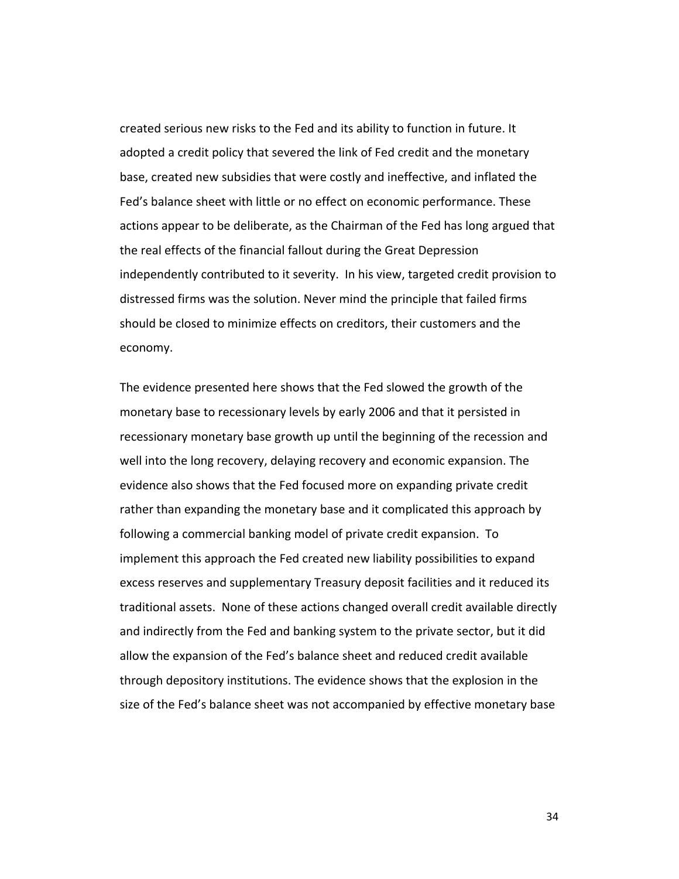created serious new risks to the Fed and its ability to function in future. It adopted a credit policy that severed the link of Fed credit and the monetary base, created new subsidies that were costly and ineffective, and inflated the Fed's balance sheet with little or no effect on economic performance. These actions appear to be deliberate, as the Chairman of the Fed has long argued that the real effects of the financial fallout during the Great Depression independently contributed to it severity. In his view, targeted credit provision to distressed firms was the solution. Never mind the principle that failed firms should be closed to minimize effects on creditors, their customers and the economy.

The evidence presented here shows that the Fed slowed the growth of the monetary base to recessionary levels by early 2006 and that it persisted in recessionary monetary base growth up until the beginning of the recession and well into the long recovery, delaying recovery and economic expansion. The evidence also shows that the Fed focused more on expanding private credit rather than expanding the monetary base and it complicated this approach by following a commercial banking model of private credit expansion. To implement this approach the Fed created new liability possibilities to expand excess reserves and supplementary Treasury deposit facilities and it reduced its traditional assets. None of these actions changed overall credit available directly and indirectly from the Fed and banking system to the private sector, but it did allow the expansion of the Fed's balance sheet and reduced credit available through depository institutions. The evidence shows that the explosion in the size of the Fed's balance sheet was not accompanied by effective monetary base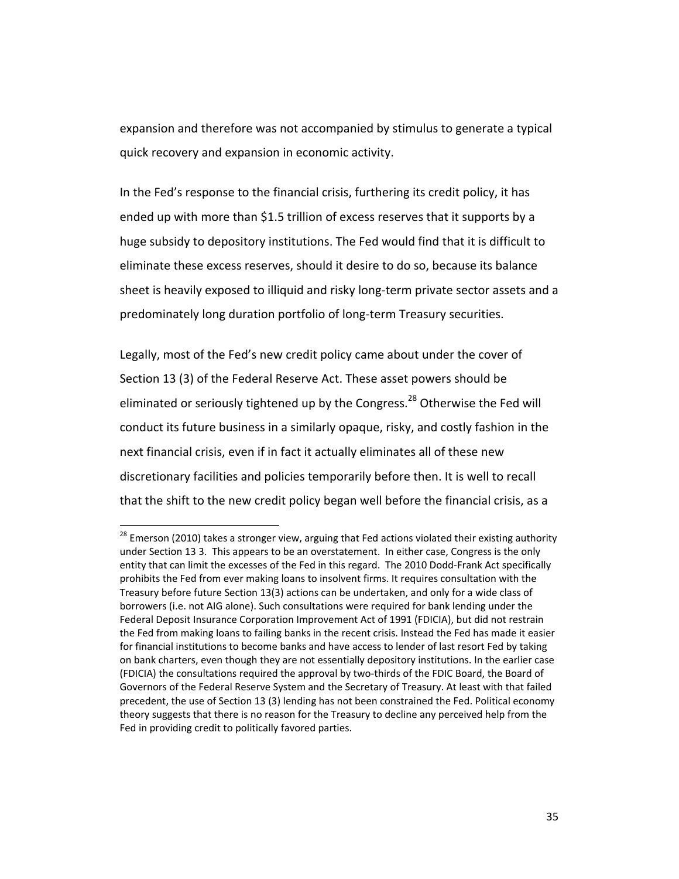expansion and therefore was not accompanied by stimulus to generate a typical quick recovery and expansion in economic activity.

In the Fed's response to the financial crisis, furthering its credit policy, it has ended up with more than \$1.5 trillion of excess reserves that it supports by a huge subsidy to depository institutions. The Fed would find that it is difficult to eliminate these excess reserves, should it desire to do so, because its balance sheet is heavily exposed to illiquid and risky long‐term private sector assets and a predominately long duration portfolio of long‐term Treasury securities.

Legally, most of the Fed's new credit policy came about under the cover of Section 13 (3) of the Federal Reserve Act. These asset powers should be eliminated or seriously tightened up by the Congress.<sup>28</sup> Otherwise the Fed will conduct its future business in a similarly opaque, risky, and costly fashion in the next financial crisis, even if in fact it actually eliminates all of these new discretionary facilities and policies temporarily before then. It is well to recall that the shift to the new credit policy began well before the financial crisis, as a

 $^{28}$  Emerson (2010) takes a stronger view, arguing that Fed actions violated their existing authority under Section 13 3. This appears to be an overstatement. In either case, Congress is the only entity that can limit the excesses of the Fed in this regard. The 2010 Dodd-Frank Act specifically prohibits the Fed from ever making loans to insolvent firms. It requires consultation with the Treasury before future Section 13(3) actions can be undertaken, and only for a wide class of borrowers (i.e. not AIG alone). Such consultations were required for bank lending under the Federal Deposit Insurance Corporation Improvement Act of 1991 (FDICIA), but did not restrain the Fed from making loans to failing banks in the recent crisis. Instead the Fed has made it easier for financial institutions to become banks and have access to lender of last resort Fed by taking on bank charters, even though they are not essentially depository institutions. In the earlier case (FDICIA) the consultations required the approval by two‐thirds of the FDIC Board, the Board of Governors of the Federal Reserve System and the Secretary of Treasury. At least with that failed precedent, the use of Section 13 (3) lending has not been constrained the Fed. Political economy theory suggests that there is no reason for the Treasury to decline any perceived help from the Fed in providing credit to politically favored parties.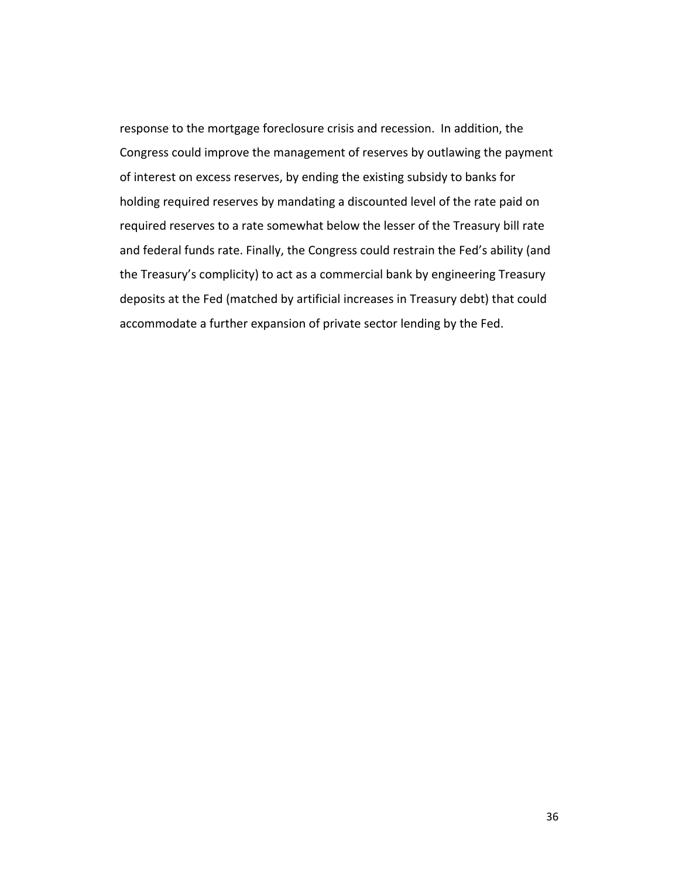response to the mortgage foreclosure crisis and recession. In addition, the Congress could improve the management of reserves by outlawing the payment of interest on excess reserves, by ending the existing subsidy to banks for holding required reserves by mandating a discounted level of the rate paid on required reserves to a rate somewhat below the lesser of the Treasury bill rate and federal funds rate. Finally, the Congress could restrain the Fed's ability (and the Treasury's complicity) to act as a commercial bank by engineering Treasury deposits at the Fed (matched by artificial increases in Treasury debt) that could accommodate a further expansion of private sector lending by the Fed.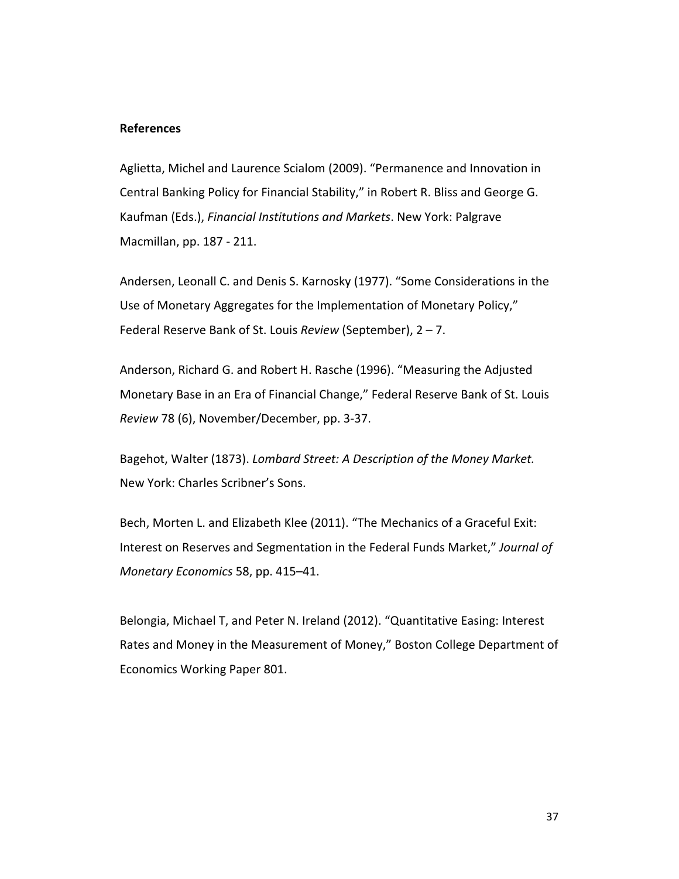#### **References**

Aglietta, Michel and Laurence Scialom (2009). "Permanence and Innovation in Central Banking Policy for Financial Stability," in Robert R. Bliss and George G. Kaufman (Eds.), *Financial Institutions and Markets*. New York: Palgrave Macmillan, pp. 187 ‐ 211.

Andersen, Leonall C. and Denis S. Karnosky (1977). "Some Considerations in the Use of Monetary Aggregates for the Implementation of Monetary Policy," Federal Reserve Bank of St. Louis *Review* (September), 2 – 7.

Anderson, Richard G. and Robert H. Rasche (1996). "Measuring the Adjusted Monetary Base in an Era of Financial Change," Federal Reserve Bank of St. Louis *Review* 78 (6), November/December, pp. 3‐37.

Bagehot, Walter (1873). *Lombard Street: A Description of the Money Market.* New York: Charles Scribner's Sons.

Bech, Morten L. and Elizabeth Klee (2011). "The Mechanics of a Graceful Exit: Interest on Reserves and Segmentation in the Federal Funds Market," *Journal of Monetary Economics* 58, pp. 415–41.

Belongia, Michael T, and Peter N. Ireland (2012). "Quantitative Easing: Interest Rates and Money in the Measurement of Money," Boston College Department of Economics Working Paper 801.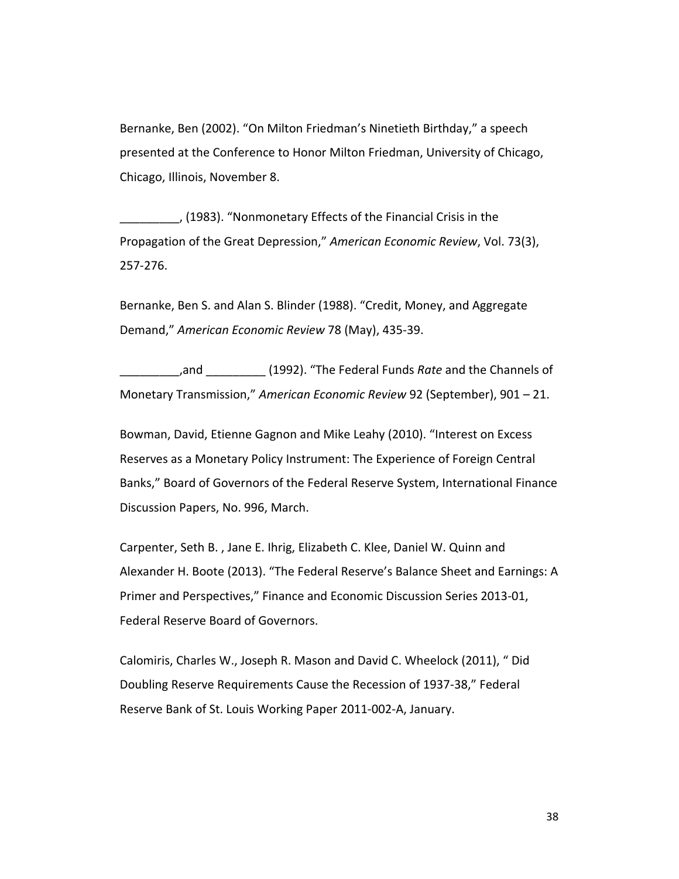Bernanke, Ben (2002). "On Milton Friedman's Ninetieth Birthday," a speech presented at the Conference to Honor Milton Friedman, University of Chicago, Chicago, Illinois, November 8.

\_\_\_\_\_\_\_\_\_, (1983). "Nonmonetary Effects of the Financial Crisis in the Propagation of the Great Depression," *American Economic Review*, Vol. 73(3), 257‐276.

Bernanke, Ben S. and Alan S. Blinder (1988). "Credit, Money, and Aggregate Demand," *American Economic Review* 78 (May), 435‐39.

\_\_\_\_\_\_\_\_\_,and \_\_\_\_\_\_\_\_\_ (1992). "The Federal Funds *Rate* and the Channels of Monetary Transmission," *American Economic Review* 92 (September), 901 – 21.

Bowman, David, Etienne Gagnon and Mike Leahy (2010). "Interest on Excess Reserves as a Monetary Policy Instrument: The Experience of Foreign Central Banks," Board of Governors of the Federal Reserve System, International Finance Discussion Papers, No. 996, March.

Carpenter, Seth B. , Jane E. Ihrig, Elizabeth C. Klee, Daniel W. Quinn and Alexander H. Boote (2013). "The Federal Reserve's Balance Sheet and Earnings: A Primer and Perspectives," Finance and Economic Discussion Series 2013‐01, Federal Reserve Board of Governors.

Calomiris, Charles W., Joseph R. Mason and David C. Wheelock (2011), " Did Doubling Reserve Requirements Cause the Recession of 1937‐38," Federal Reserve Bank of St. Louis Working Paper 2011‐002‐A, January.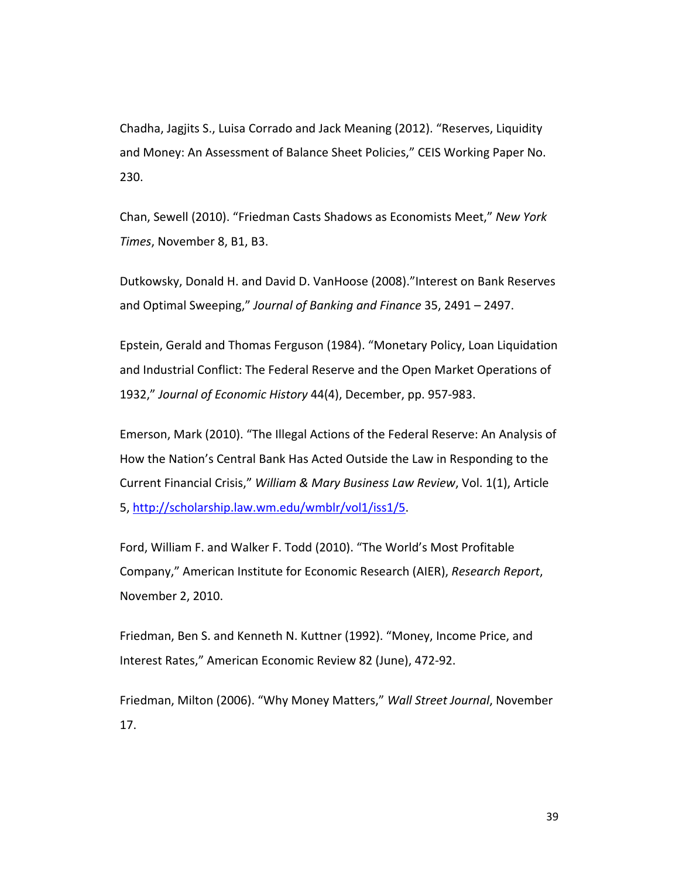Chadha, Jagjits S., Luisa Corrado and Jack Meaning (2012). "Reserves, Liquidity and Money: An Assessment of Balance Sheet Policies," CEIS Working Paper No. 230.

Chan, Sewell (2010). "Friedman Casts Shadows as Economists Meet," *New York Times*, November 8, B1, B3.

Dutkowsky, Donald H. and David D. VanHoose (2008)."Interest on Bank Reserves and Optimal Sweeping," *Journal of Banking and Finance* 35, 2491 – 2497.

Epstein, Gerald and Thomas Ferguson (1984). "Monetary Policy, Loan Liquidation and Industrial Conflict: The Federal Reserve and the Open Market Operations of 1932," *Journal of Economic History* 44(4), December, pp. 957‐983.

Emerson, Mark (2010). "The Illegal Actions of the Federal Reserve: An Analysis of How the Nation's Central Bank Has Acted Outside the Law in Responding to the Current Financial Crisis," *William & Mary Business Law Review*, Vol. 1(1), Article 5, http://scholarship.law.wm.edu/wmblr/vol1/iss1/5.

Ford, William F. and Walker F. Todd (2010). "The World's Most Profitable Company," American Institute for Economic Research (AIER), *Research Report*, November 2, 2010.

Friedman, Ben S. and Kenneth N. Kuttner (1992). "Money, Income Price, and Interest Rates," American Economic Review 82 (June), 472‐92.

Friedman, Milton (2006). "Why Money Matters," *Wall Street Journal*, November 17.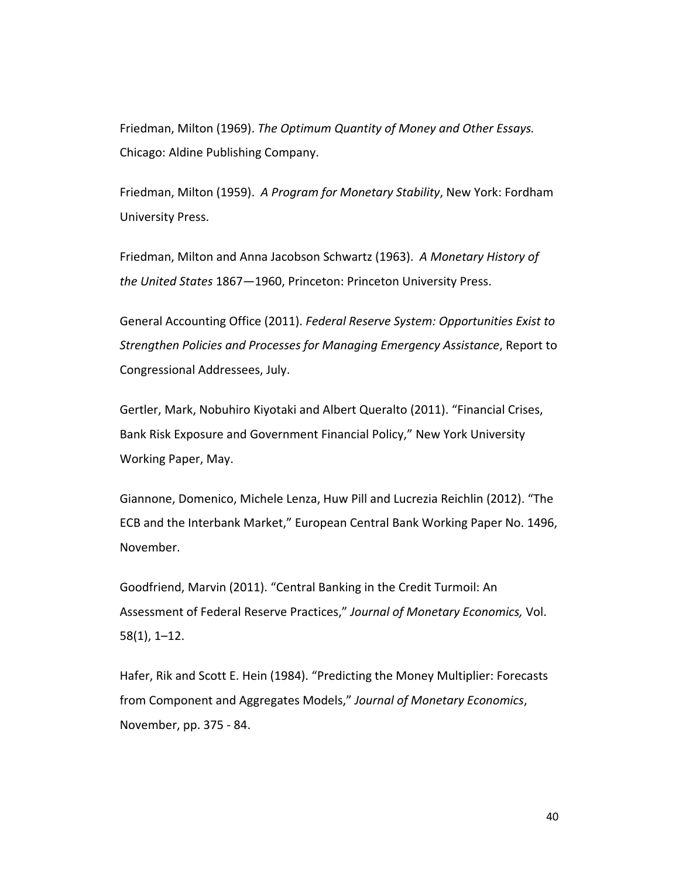Friedman, Milton (1969). *The Optimum Quantity of Money and Other Essays.* Chicago: Aldine Publishing Company.

Friedman, Milton (1959). *A Program for Monetary Stability*, New York: Fordham University Press.

Friedman, Milton and Anna Jacobson Schwartz (1963). *A Monetary History of the United States* 1867—1960, Princeton: Princeton University Press.

General Accounting Office (2011). *Federal Reserve System: Opportunities Exist to Strengthen Policies and Processes for Managing Emergency Assistance*, Report to Congressional Addressees, July.

Gertler, Mark, Nobuhiro Kiyotaki and Albert Queralto (2011). "Financial Crises, Bank Risk Exposure and Government Financial Policy," New York University Working Paper, May.

Giannone, Domenico, Michele Lenza, Huw Pill and Lucrezia Reichlin (2012). "The ECB and the Interbank Market," European Central Bank Working Paper No. 1496, November.

Goodfriend, Marvin (2011). "Central Banking in the Credit Turmoil: An Assessment of Federal Reserve Practices," *Journal of Monetary Economics,* Vol. 58(1), 1–12.

Hafer, Rik and Scott E. Hein (1984). "Predicting the Money Multiplier: Forecasts from Component and Aggregates Models," *Journal of Monetary Economics*, November, pp. 375 ‐ 84.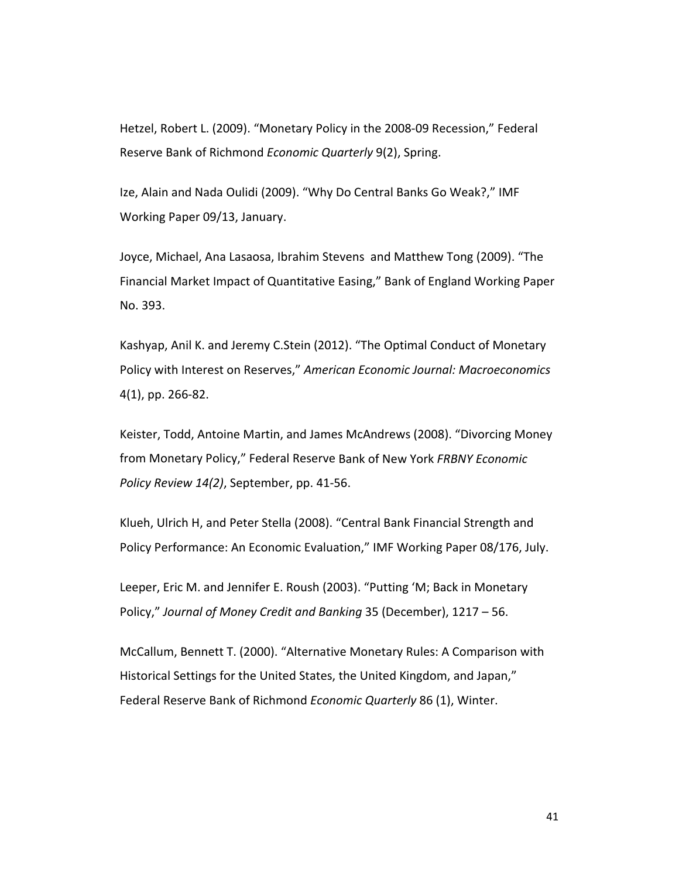Hetzel, Robert L. (2009). "Monetary Policy in the 2008‐09 Recession," Federal Reserve Bank of Richmond *Economic Quarterly* 9(2), Spring.

Ize, Alain and Nada Oulidi (2009). "Why Do Central Banks Go Weak?," IMF Working Paper 09/13, January.

Joyce, Michael, Ana Lasaosa, Ibrahim Stevens and Matthew Tong (2009). "The Financial Market Impact of Quantitative Easing," Bank of England Working Paper No. 393.

Kashyap, Anil K. and Jeremy C.Stein (2012). "The Optimal Conduct of Monetary Policy with Interest on Reserves," *American Economic Journal: Macroeconomics* 4(1), pp. 266‐82.

Keister, Todd, Antoine Martin, and James McAndrews (2008). "Divorcing Money from Monetary Policy," Federal Reserve Bank of New York *FRBNY Economic Policy Review 14(2)*, September, pp. 41‐56.

Klueh, Ulrich H, and Peter Stella (2008). "Central Bank Financial Strength and Policy Performance: An Economic Evaluation," IMF Working Paper 08/176, July.

Leeper, Eric M. and Jennifer E. Roush (2003). "Putting 'M; Back in Monetary Policy," *Journal of Money Credit and Banking* 35 (December), 1217 – 56.

McCallum, Bennett T. (2000). "Alternative Monetary Rules: A Comparison with Historical Settings for the United States, the United Kingdom, and Japan," Federal Reserve Bank of Richmond *Economic Quarterly* 86 (1), Winter.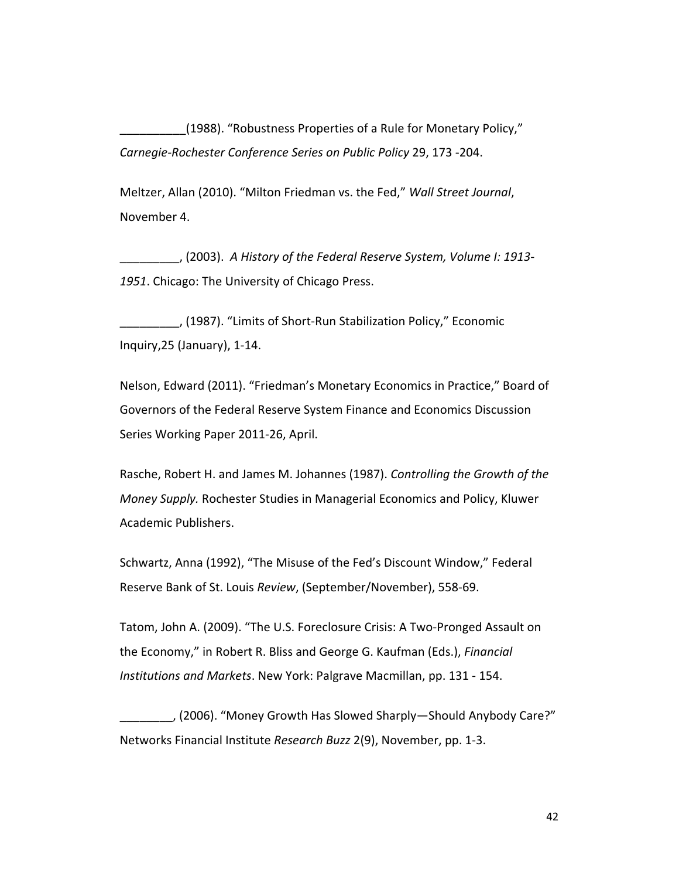\_\_\_\_\_\_\_\_\_\_(1988). "Robustness Properties of a Rule for Monetary Policy," *Carnegie‐Rochester Conference Series on Public Policy* 29, 173 ‐204.

Meltzer, Allan (2010). "Milton Friedman vs. the Fed," *Wall Street Journal*, November 4.

\_\_\_\_\_\_\_\_\_, (2003). *A History of the Federal Reserve System, Volume I: 1913‐ 1951*. Chicago: The University of Chicago Press.

\_\_\_\_\_\_\_\_\_, (1987). "Limits of Short‐Run Stabilization Policy," Economic Inquiry,25 (January), 1‐14.

Nelson, Edward (2011). "Friedman's Monetary Economics in Practice," Board of Governors of the Federal Reserve System Finance and Economics Discussion Series Working Paper 2011‐26, April.

Rasche, Robert H. and James M. Johannes (1987). *Controlling the Growth of the Money Supply.* Rochester Studies in Managerial Economics and Policy, Kluwer Academic Publishers.

Schwartz, Anna (1992), "The Misuse of the Fed's Discount Window," Federal Reserve Bank of St. Louis *Review*, (September/November), 558‐69.

Tatom, John A. (2009). "The U.S. Foreclosure Crisis: A Two‐Pronged Assault on the Economy," in Robert R. Bliss and George G. Kaufman (Eds.), *Financial Institutions and Markets*. New York: Palgrave Macmillan, pp. 131 ‐ 154.

\_\_\_\_\_\_\_\_, (2006). "Money Growth Has Slowed Sharply—Should Anybody Care?" Networks Financial Institute *Research Buzz* 2(9), November, pp. 1‐3.